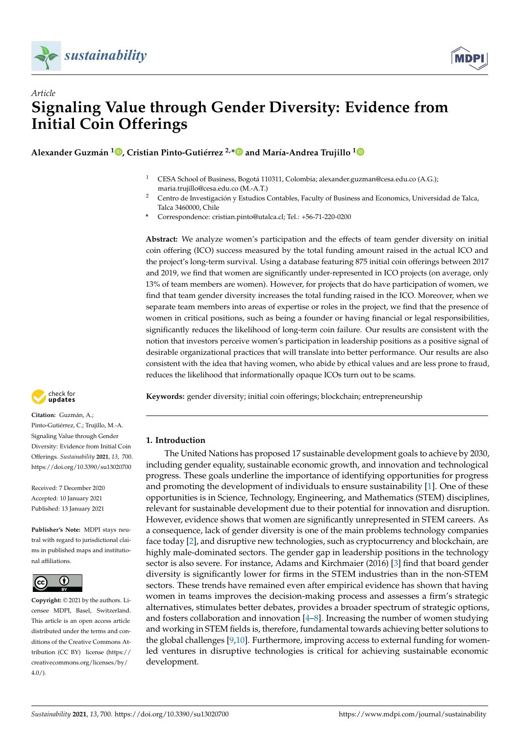



# *Article* **Signaling Value through Gender Diversity: Evidence from Initial Coin Offerings**

**Alexander Guzmán 1 [,](https://orcid.org/0000-0001-7675-048X) Cristian Pinto-Gutiérrez 2,[\\*](https://orcid.org/0000-0002-7981-4968) and María-Andrea Trujillo [1](https://orcid.org/0000-0002-9592-7890)**

- <sup>1</sup> CESA School of Business, Bogotá 110311, Colombia; alexander.guzman@cesa.edu.co (A.G.); maria.trujillo@cesa.edu.co (M.-A.T.)
- <sup>2</sup> Centro de Investigación y Estudios Contables, Faculty of Business and Economics, Universidad de Talca, Talca 3460000, Chile
- **\*** Correspondence: cristian.pinto@utalca.cl; Tel.: +56-71-220-0200

**Abstract:** We analyze women's participation and the effects of team gender diversity on initial coin offering (ICO) success measured by the total funding amount raised in the actual ICO and the project's long-term survival. Using a database featuring 875 initial coin offerings between 2017 and 2019, we find that women are significantly under-represented in ICO projects (on average, only 13% of team members are women). However, for projects that do have participation of women, we find that team gender diversity increases the total funding raised in the ICO. Moreover, when we separate team members into areas of expertise or roles in the project, we find that the presence of women in critical positions, such as being a founder or having financial or legal responsibilities, significantly reduces the likelihood of long-term coin failure. Our results are consistent with the notion that investors perceive women's participation in leadership positions as a positive signal of desirable organizational practices that will translate into better performance. Our results are also consistent with the idea that having women, who abide by ethical values and are less prone to fraud, reduces the likelihood that informationally opaque ICOs turn out to be scams.

**Keywords:** gender diversity; initial coin offerings; blockchain; entrepreneurship

# **- Citation:** Guzmán, A.;

check for

Pinto-Gutiérrez, C.; Trujillo, M.-A. Signaling Value through Gender Diversity: Evidence from Initial Coin Offerings. *Sustainability* **2021**, *13*, 700. <https://doi.org/10.3390/su13020700>

Received: 7 December 2020 Accepted: 10 January 2021 Published: 13 January 2021

**Publisher's Note:** MDPI stays neutral with regard to jurisdictional claims in published maps and institutional affiliations.



**Copyright:** © 2021 by the authors. Licensee MDPI, Basel, Switzerland. This article is an open access article distributed under the terms and conditions of the Creative Commons Attribution (CC BY) license [\(https://](https://creativecommons.org/licenses/by/4.0/) [creativecommons.org/licenses/by/](https://creativecommons.org/licenses/by/4.0/)  $4.0/$ ).

**1. Introduction**

The United Nations has proposed 17 sustainable development goals to achieve by 2030, including gender equality, sustainable economic growth, and innovation and technological progress. These goals underline the importance of identifying opportunities for progress and promoting the development of individuals to ensure sustainability [\[1\]](#page-16-0). One of these opportunities is in Science, Technology, Engineering, and Mathematics (STEM) disciplines, relevant for sustainable development due to their potential for innovation and disruption. However, evidence shows that women are significantly unrepresented in STEM careers. As a consequence, lack of gender diversity is one of the main problems technology companies face today [\[2\]](#page-16-1), and disruptive new technologies, such as cryptocurrency and blockchain, are highly male-dominated sectors. The gender gap in leadership positions in the technology sector is also severe. For instance, Adams and Kirchmaier (2016) [\[3\]](#page-16-2) find that board gender diversity is significantly lower for firms in the STEM industries than in the non-STEM sectors. These trends have remained even after empirical evidence has shown that having women in teams improves the decision-making process and assesses a firm's strategic alternatives, stimulates better debates, provides a broader spectrum of strategic options, and fosters collaboration and innovation  $[4-8]$  $[4-8]$ . Increasing the number of women studying and working in STEM fields is, therefore, fundamental towards achieving better solutions to the global challenges [\[9](#page-16-5)[,10\]](#page-16-6). Furthermore, improving access to external funding for womenled ventures in disruptive technologies is critical for achieving sustainable economic development.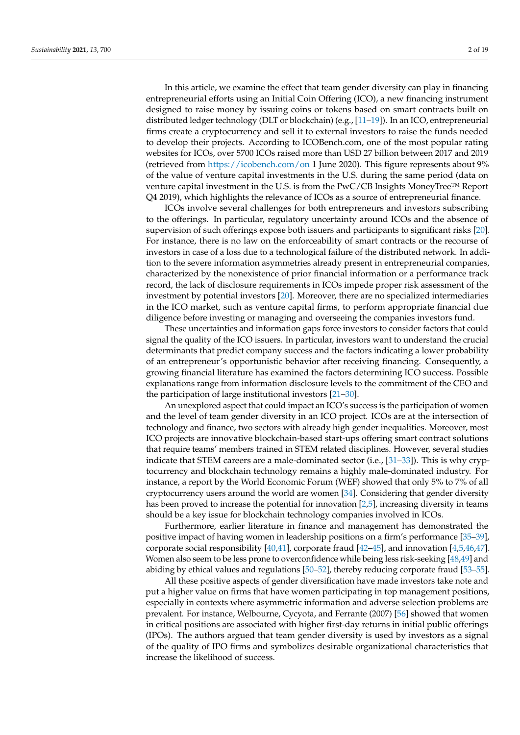In this article, we examine the effect that team gender diversity can play in financing entrepreneurial efforts using an Initial Coin Offering (ICO), a new financing instrument designed to raise money by issuing coins or tokens based on smart contracts built on distributed ledger technology (DLT or blockchain) (e.g., [\[11–](#page-16-7)[19\]](#page-16-8)). In an ICO, entrepreneurial firms create a cryptocurrency and sell it to external investors to raise the funds needed to develop their projects. According to ICOBench.com, one of the most popular rating websites for ICOs, over 5700 ICOs raised more than USD 27 billion between 2017 and 2019 (retrieved from <https://icobench.com/on> 1 June 2020). This figure represents about 9% of the value of venture capital investments in the U.S. during the same period (data on venture capital investment in the U.S. is from the PwC/CB Insights MoneyTree™ Report Q4 2019), which highlights the relevance of ICOs as a source of entrepreneurial finance.

ICOs involve several challenges for both entrepreneurs and investors subscribing to the offerings. In particular, regulatory uncertainty around ICOs and the absence of supervision of such offerings expose both issuers and participants to significant risks [\[20\]](#page-16-9). For instance, there is no law on the enforceability of smart contracts or the recourse of investors in case of a loss due to a technological failure of the distributed network. In addition to the severe information asymmetries already present in entrepreneurial companies, characterized by the nonexistence of prior financial information or a performance track record, the lack of disclosure requirements in ICOs impede proper risk assessment of the investment by potential investors [\[20\]](#page-16-9). Moreover, there are no specialized intermediaries in the ICO market, such as venture capital firms, to perform appropriate financial due diligence before investing or managing and overseeing the companies investors fund.

These uncertainties and information gaps force investors to consider factors that could signal the quality of the ICO issuers. In particular, investors want to understand the crucial determinants that predict company success and the factors indicating a lower probability of an entrepreneur's opportunistic behavior after receiving financing. Consequently, a growing financial literature has examined the factors determining ICO success. Possible explanations range from information disclosure levels to the commitment of the CEO and the participation of large institutional investors [\[21](#page-16-10)[–30\]](#page-16-11).

An unexplored aspect that could impact an ICO's success is the participation of women and the level of team gender diversity in an ICO project. ICOs are at the intersection of technology and finance, two sectors with already high gender inequalities. Moreover, most ICO projects are innovative blockchain-based start-ups offering smart contract solutions that require teams' members trained in STEM related disciplines. However, several studies indicate that STEM careers are a male-dominated sector (i.e., [\[31–](#page-16-12)[33\]](#page-17-0)). This is why cryptocurrency and blockchain technology remains a highly male-dominated industry. For instance, a report by the World Economic Forum (WEF) showed that only 5% to 7% of all cryptocurrency users around the world are women [\[34\]](#page-17-1). Considering that gender diversity has been proved to increase the potential for innovation [\[2](#page-16-1)[,5\]](#page-16-13), increasing diversity in teams should be a key issue for blockchain technology companies involved in ICOs.

Furthermore, earlier literature in finance and management has demonstrated the positive impact of having women in leadership positions on a firm's performance [\[35–](#page-17-2)[39\]](#page-17-3), corporate social responsibility [\[40,](#page-17-4)[41\]](#page-17-5), corporate fraud [\[42](#page-17-6)[–45\]](#page-17-7), and innovation [\[4,](#page-16-3)[5](#page-16-13)[,46](#page-17-8)[,47\]](#page-17-9). Women also seem to be less prone to overconfidence while being less risk-seeking [\[48](#page-17-10)[,49\]](#page-17-11) and abiding by ethical values and regulations [\[50](#page-17-12)[–52\]](#page-17-13), thereby reducing corporate fraud [\[53](#page-17-14)[–55\]](#page-17-15).

All these positive aspects of gender diversification have made investors take note and put a higher value on firms that have women participating in top management positions, especially in contexts where asymmetric information and adverse selection problems are prevalent. For instance, Welbourne, Cycyota, and Ferrante (2007) [\[56\]](#page-17-16) showed that women in critical positions are associated with higher first-day returns in initial public offerings (IPOs). The authors argued that team gender diversity is used by investors as a signal of the quality of IPO firms and symbolizes desirable organizational characteristics that increase the likelihood of success.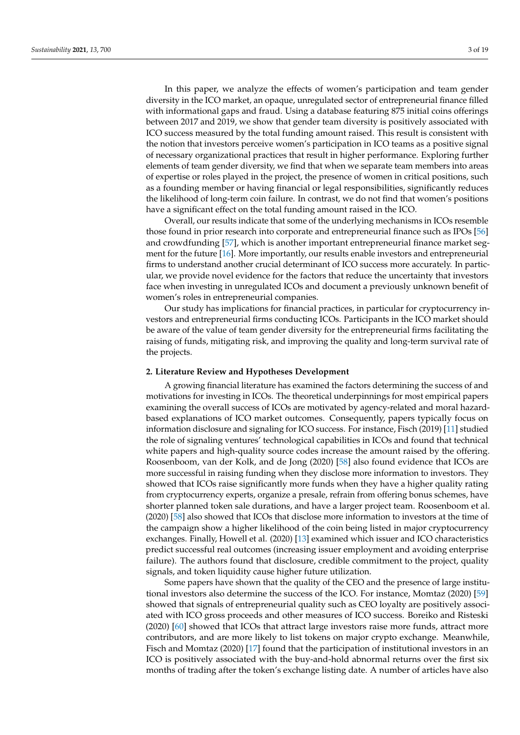In this paper, we analyze the effects of women's participation and team gender diversity in the ICO market, an opaque, unregulated sector of entrepreneurial finance filled with informational gaps and fraud. Using a database featuring 875 initial coins offerings between 2017 and 2019, we show that gender team diversity is positively associated with ICO success measured by the total funding amount raised. This result is consistent with the notion that investors perceive women's participation in ICO teams as a positive signal of necessary organizational practices that result in higher performance. Exploring further elements of team gender diversity, we find that when we separate team members into areas of expertise or roles played in the project, the presence of women in critical positions, such as a founding member or having financial or legal responsibilities, significantly reduces the likelihood of long-term coin failure. In contrast, we do not find that women's positions have a significant effect on the total funding amount raised in the ICO.

Overall, our results indicate that some of the underlying mechanisms in ICOs resemble those found in prior research into corporate and entrepreneurial finance such as IPOs [\[56\]](#page-17-16) and crowdfunding [\[57\]](#page-17-17), which is another important entrepreneurial finance market segment for the future [\[16\]](#page-16-14). More importantly, our results enable investors and entrepreneurial firms to understand another crucial determinant of ICO success more accurately. In particular, we provide novel evidence for the factors that reduce the uncertainty that investors face when investing in unregulated ICOs and document a previously unknown benefit of women's roles in entrepreneurial companies.

Our study has implications for financial practices, in particular for cryptocurrency investors and entrepreneurial firms conducting ICOs. Participants in the ICO market should be aware of the value of team gender diversity for the entrepreneurial firms facilitating the raising of funds, mitigating risk, and improving the quality and long-term survival rate of the projects.

#### **2. Literature Review and Hypotheses Development**

A growing financial literature has examined the factors determining the success of and motivations for investing in ICOs. The theoretical underpinnings for most empirical papers examining the overall success of ICOs are motivated by agency-related and moral hazardbased explanations of ICO market outcomes. Consequently, papers typically focus on information disclosure and signaling for ICO success. For instance, Fisch (2019) [\[11\]](#page-16-7) studied the role of signaling ventures' technological capabilities in ICOs and found that technical white papers and high-quality source codes increase the amount raised by the offering. Roosenboom, van der Kolk, and de Jong (2020) [\[58\]](#page-17-18) also found evidence that ICOs are more successful in raising funding when they disclose more information to investors. They showed that ICOs raise significantly more funds when they have a higher quality rating from cryptocurrency experts, organize a presale, refrain from offering bonus schemes, have shorter planned token sale durations, and have a larger project team. Roosenboom et al. (2020) [\[58\]](#page-17-18) also showed that ICOs that disclose more information to investors at the time of the campaign show a higher likelihood of the coin being listed in major cryptocurrency exchanges. Finally, Howell et al. (2020) [\[13\]](#page-16-15) examined which issuer and ICO characteristics predict successful real outcomes (increasing issuer employment and avoiding enterprise failure). The authors found that disclosure, credible commitment to the project, quality signals, and token liquidity cause higher future utilization.

Some papers have shown that the quality of the CEO and the presence of large institutional investors also determine the success of the ICO. For instance, Momtaz (2020) [\[59\]](#page-17-19) showed that signals of entrepreneurial quality such as CEO loyalty are positively associated with ICO gross proceeds and other measures of ICO success. Boreiko and Risteski (2020) [\[60\]](#page-17-20) showed that ICOs that attract large investors raise more funds, attract more contributors, and are more likely to list tokens on major crypto exchange. Meanwhile, Fisch and Momtaz (2020) [\[17\]](#page-16-16) found that the participation of institutional investors in an ICO is positively associated with the buy-and-hold abnormal returns over the first six months of trading after the token's exchange listing date. A number of articles have also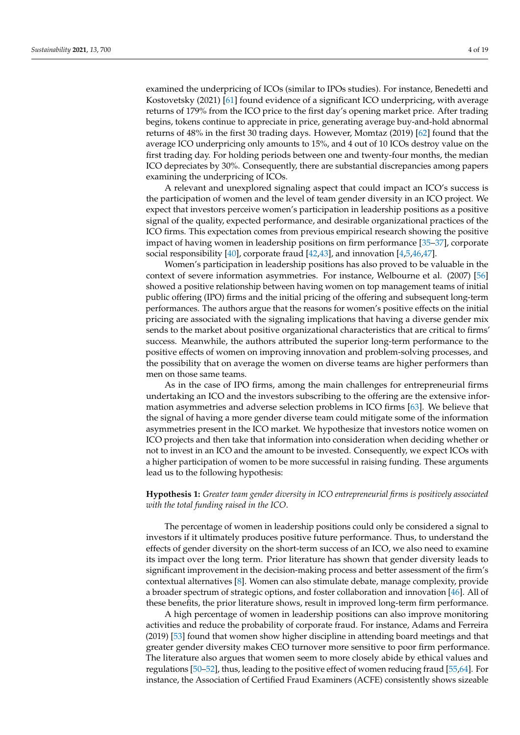examined the underpricing of ICOs (similar to IPOs studies). For instance, Benedetti and Kostovetsky (2021) [\[61\]](#page-17-21) found evidence of a significant ICO underpricing, with average returns of 179% from the ICO price to the first day's opening market price. After trading begins, tokens continue to appreciate in price, generating average buy-and-hold abnormal returns of 48% in the first 30 trading days. However, Momtaz (2019) [\[62\]](#page-17-22) found that the average ICO underpricing only amounts to 15%, and 4 out of 10 ICOs destroy value on the first trading day. For holding periods between one and twenty-four months, the median ICO depreciates by 30%. Consequently, there are substantial discrepancies among papers examining the underpricing of ICOs.

A relevant and unexplored signaling aspect that could impact an ICO's success is the participation of women and the level of team gender diversity in an ICO project. We expect that investors perceive women's participation in leadership positions as a positive signal of the quality, expected performance, and desirable organizational practices of the ICO firms. This expectation comes from previous empirical research showing the positive impact of having women in leadership positions on firm performance [\[35](#page-17-2)[–37\]](#page-17-23), corporate social responsibility [\[40\]](#page-17-4), corporate fraud [\[42,](#page-17-6)[43\]](#page-17-24), and innovation [\[4](#page-16-3)[,5](#page-16-13)[,46](#page-17-8)[,47\]](#page-17-9).

Women's participation in leadership positions has also proved to be valuable in the context of severe information asymmetries. For instance, Welbourne et al. (2007) [\[56\]](#page-17-16) showed a positive relationship between having women on top management teams of initial public offering (IPO) firms and the initial pricing of the offering and subsequent long-term performances. The authors argue that the reasons for women's positive effects on the initial pricing are associated with the signaling implications that having a diverse gender mix sends to the market about positive organizational characteristics that are critical to firms' success. Meanwhile, the authors attributed the superior long-term performance to the positive effects of women on improving innovation and problem-solving processes, and the possibility that on average the women on diverse teams are higher performers than men on those same teams.

As in the case of IPO firms, among the main challenges for entrepreneurial firms undertaking an ICO and the investors subscribing to the offering are the extensive information asymmetries and adverse selection problems in ICO firms [\[63\]](#page-17-25). We believe that the signal of having a more gender diverse team could mitigate some of the information asymmetries present in the ICO market. We hypothesize that investors notice women on ICO projects and then take that information into consideration when deciding whether or not to invest in an ICO and the amount to be invested. Consequently, we expect ICOs with a higher participation of women to be more successful in raising funding. These arguments lead us to the following hypothesis:

# **Hypothesis 1:** *Greater team gender diversity in ICO entrepreneurial firms is positively associated with the total funding raised in the ICO*.

The percentage of women in leadership positions could only be considered a signal to investors if it ultimately produces positive future performance. Thus, to understand the effects of gender diversity on the short-term success of an ICO, we also need to examine its impact over the long term. Prior literature has shown that gender diversity leads to significant improvement in the decision-making process and better assessment of the firm's contextual alternatives [\[8\]](#page-16-4). Women can also stimulate debate, manage complexity, provide a broader spectrum of strategic options, and foster collaboration and innovation [\[46\]](#page-17-8). All of these benefits, the prior literature shows, result in improved long-term firm performance.

A high percentage of women in leadership positions can also improve monitoring activities and reduce the probability of corporate fraud. For instance, Adams and Ferreira (2019) [\[53\]](#page-17-14) found that women show higher discipline in attending board meetings and that greater gender diversity makes CEO turnover more sensitive to poor firm performance. The literature also argues that women seem to more closely abide by ethical values and regulations [\[50](#page-17-12)[–52\]](#page-17-13), thus, leading to the positive effect of women reducing fraud [\[55](#page-17-15)[,64\]](#page-17-26). For instance, the Association of Certified Fraud Examiners (ACFE) consistently shows sizeable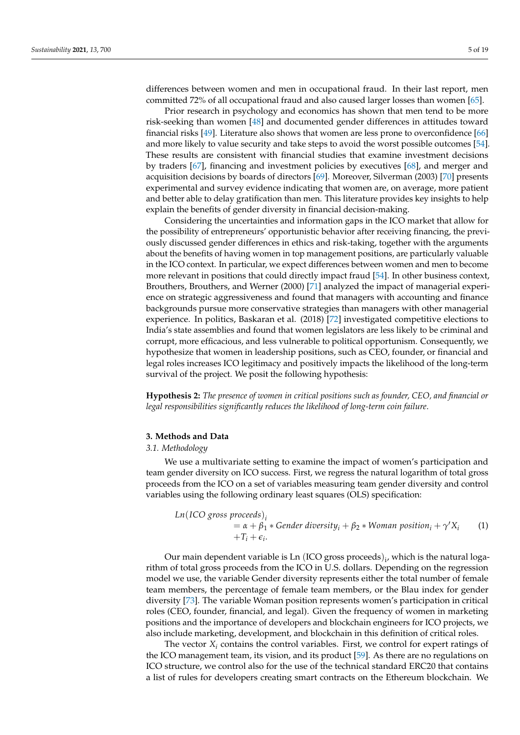differences between women and men in occupational fraud. In their last report, men committed 72% of all occupational fraud and also caused larger losses than women [\[65\]](#page-17-27).

Prior research in psychology and economics has shown that men tend to be more risk-seeking than women [\[48\]](#page-17-10) and documented gender differences in attitudes toward financial risks [\[49\]](#page-17-11). Literature also shows that women are less prone to overconfidence [\[66\]](#page-18-0) and more likely to value security and take steps to avoid the worst possible outcomes [\[54\]](#page-17-28). These results are consistent with financial studies that examine investment decisions by traders [\[67\]](#page-18-1), financing and investment policies by executives [\[68\]](#page-18-2), and merger and acquisition decisions by boards of directors [\[69\]](#page-18-3). Moreover, Silverman (2003) [\[70\]](#page-18-4) presents experimental and survey evidence indicating that women are, on average, more patient and better able to delay gratification than men. This literature provides key insights to help explain the benefits of gender diversity in financial decision-making.

Considering the uncertainties and information gaps in the ICO market that allow for the possibility of entrepreneurs' opportunistic behavior after receiving financing, the previously discussed gender differences in ethics and risk-taking, together with the arguments about the benefits of having women in top management positions, are particularly valuable in the ICO context. In particular, we expect differences between women and men to become more relevant in positions that could directly impact fraud [\[54\]](#page-17-28). In other business context, Brouthers, Brouthers, and Werner (2000) [\[71\]](#page-18-5) analyzed the impact of managerial experience on strategic aggressiveness and found that managers with accounting and finance backgrounds pursue more conservative strategies than managers with other managerial experience. In politics, Baskaran et al. (2018) [\[72\]](#page-18-6) investigated competitive elections to India's state assemblies and found that women legislators are less likely to be criminal and corrupt, more efficacious, and less vulnerable to political opportunism. Consequently, we hypothesize that women in leadership positions, such as CEO, founder, or financial and legal roles increases ICO legitimacy and positively impacts the likelihood of the long-term survival of the project. We posit the following hypothesis:

**Hypothesis 2:** *The presence of women in critical positions such as founder, CEO, and financial or legal responsibilities significantly reduces the likelihood of long-term coin failure*.

# **3. Methods and Data**

#### *3.1. Methodology*

We use a multivariate setting to examine the impact of women's participation and team gender diversity on ICO success. First, we regress the natural logarithm of total gross proceeds from the ICO on a set of variables measuring team gender diversity and control variables using the following ordinary least squares (OLS) specification:

Ln(ICO gross proceeds)<sub>i</sub>  
= 
$$
\alpha + \beta_1 * \text{Gender diversity}_i + \beta_2 * \text{Woman position}_i + \gamma' X_i
$$
 (1)  
+T<sub>i</sub> + \epsilon<sub>i</sub>.

Our main dependent variable is Ln (ICO gross proceeds) $_{i}$ , which is the natural logarithm of total gross proceeds from the ICO in U.S. dollars. Depending on the regression model we use, the variable Gender diversity represents either the total number of female team members, the percentage of female team members, or the Blau index for gender diversity [\[73\]](#page-18-7). The variable Woman position represents women's participation in critical roles (CEO, founder, financial, and legal). Given the frequency of women in marketing positions and the importance of developers and blockchain engineers for ICO projects, we also include marketing, development, and blockchain in this definition of critical roles.

The vector  $X_i$  contains the control variables. First, we control for expert ratings of the ICO management team, its vision, and its product [\[59\]](#page-17-19). As there are no regulations on ICO structure, we control also for the use of the technical standard ERC20 that contains a list of rules for developers creating smart contracts on the Ethereum blockchain. We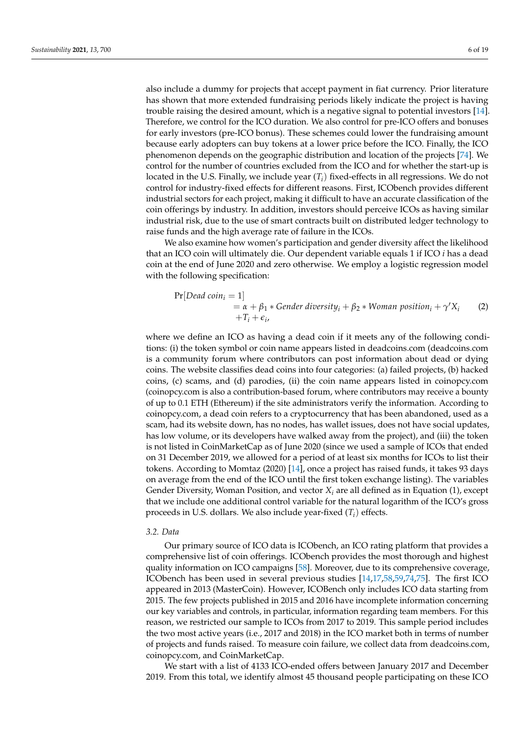also include a dummy for projects that accept payment in fiat currency. Prior literature has shown that more extended fundraising periods likely indicate the project is having trouble raising the desired amount, which is a negative signal to potential investors [\[14\]](#page-16-17). Therefore, we control for the ICO duration. We also control for pre-ICO offers and bonuses for early investors (pre-ICO bonus). These schemes could lower the fundraising amount because early adopters can buy tokens at a lower price before the ICO. Finally, the ICO phenomenon depends on the geographic distribution and location of the projects [\[74\]](#page-18-8). We control for the number of countries excluded from the ICO and for whether the start-up is located in the U.S. Finally, we include year (*Ti*) fixed-effects in all regressions. We do not control for industry-fixed effects for different reasons. First, ICObench provides different industrial sectors for each project, making it difficult to have an accurate classification of the coin offerings by industry. In addition, investors should perceive ICOs as having similar industrial risk, due to the use of smart contracts built on distributed ledger technology to raise funds and the high average rate of failure in the ICOs.

We also examine how women's participation and gender diversity affect the likelihood that an ICO coin will ultimately die. Our dependent variable equals 1 if ICO *i* has a dead coin at the end of June 2020 and zero otherwise. We employ a logistic regression model with the following specification:

$$
\Pr[Dead\ coin_i = 1] \\
= \alpha + \beta_1 * \text{Gender diversity}_i + \beta_2 * \text{Woman position}_i + \gamma' X_i \tag{2} \\
+ T_i + \epsilon_i,
$$

where we define an ICO as having a dead coin if it meets any of the following conditions: (i) the token symbol or coin name appears listed in deadcoins.com (deadcoins.com is a community forum where contributors can post information about dead or dying coins. The website classifies dead coins into four categories: (a) failed projects, (b) hacked coins, (c) scams, and (d) parodies, (ii) the coin name appears listed in coinopcy.com (coinopcy.com is also a contribution-based forum, where contributors may receive a bounty of up to 0.1 ETH (Ethereum) if the site administrators verify the information. According to coinopcy.com, a dead coin refers to a cryptocurrency that has been abandoned, used as a scam, had its website down, has no nodes, has wallet issues, does not have social updates, has low volume, or its developers have walked away from the project), and (iii) the token is not listed in CoinMarketCap as of June 2020 (since we used a sample of ICOs that ended on 31 December 2019, we allowed for a period of at least six months for ICOs to list their tokens. According to Momtaz (2020) [\[14\]](#page-16-17), once a project has raised funds, it takes 93 days on average from the end of the ICO until the first token exchange listing). The variables Gender Diversity, Woman Position, and vector  $X_i$  are all defined as in Equation (1), except that we include one additional control variable for the natural logarithm of the ICO's gross proceeds in U.S. dollars. We also include year-fixed (*Ti*) effects.

#### *3.2. Data*

Our primary source of ICO data is ICObench, an ICO rating platform that provides a comprehensive list of coin offerings. ICObench provides the most thorough and highest quality information on ICO campaigns [\[58\]](#page-17-18). Moreover, due to its comprehensive coverage, ICObench has been used in several previous studies [\[14](#page-16-17)[,17](#page-16-16)[,58](#page-17-18)[,59](#page-17-19)[,74](#page-18-8)[,75\]](#page-18-9). The first ICO appeared in 2013 (MasterCoin). However, ICOBench only includes ICO data starting from 2015. The few projects published in 2015 and 2016 have incomplete information concerning our key variables and controls, in particular, information regarding team members. For this reason, we restricted our sample to ICOs from 2017 to 2019. This sample period includes the two most active years (i.e., 2017 and 2018) in the ICO market both in terms of number of projects and funds raised. To measure coin failure, we collect data from deadcoins.com, coinopcy.com, and CoinMarketCap.

We start with a list of 4133 ICO-ended offers between January 2017 and December 2019. From this total, we identify almost 45 thousand people participating on these ICO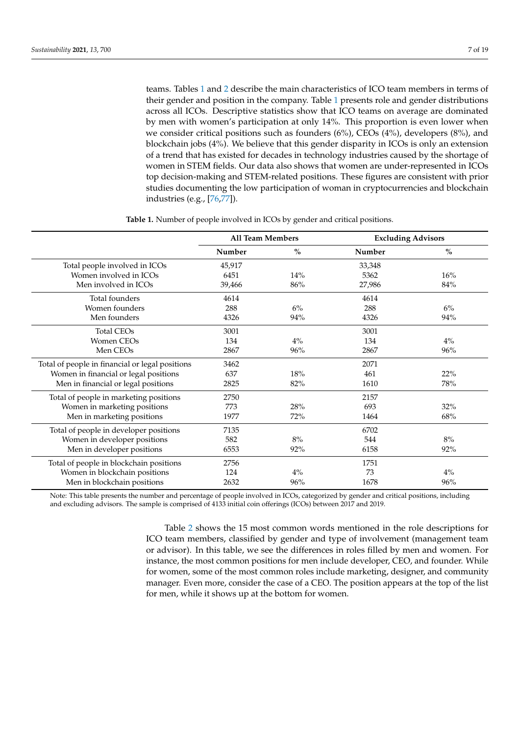teams. Tables [1](#page-6-0) and [2](#page-7-0) describe the main characteristics of ICO team members in terms of their gender and position in the company. Table [1](#page-6-0) presents role and gender distributions across all ICOs. Descriptive statistics show that ICO teams on average are dominated by men with women's participation at only 14%. This proportion is even lower when we consider critical positions such as founders (6%), CEOs (4%), developers (8%), and blockchain jobs (4%). We believe that this gender disparity in ICOs is only an extension of a trend that has existed for decades in technology industries caused by the shortage of women in STEM fields. Our data also shows that women are under-represented in ICOs top decision-making and STEM-related positions. These figures are consistent with prior studies documenting the low participation of woman in cryptocurrencies and blockchain industries (e.g., [\[76,](#page-18-10)[77\]](#page-18-11)).

<span id="page-6-0"></span>

|                                                 | <b>All Team Members</b> |               | <b>Excluding Advisors</b> |       |
|-------------------------------------------------|-------------------------|---------------|---------------------------|-------|
|                                                 | Number                  | $\frac{0}{0}$ | Number                    | $\%$  |
| Total people involved in ICOs                   | 45,917                  |               | 33,348                    |       |
| Women involved in ICOs                          | 6451                    | 14%           | 5362                      | 16%   |
| Men involved in ICOs                            | 39,466                  | 86%           | 27,986                    | 84%   |
| Total founders                                  | 4614                    |               | 4614                      |       |
| Women founders                                  | 288                     | 6%            | 288                       | 6%    |
| Men founders                                    | 4326                    | 94%           | 4326                      | 94%   |
| <b>Total CEOs</b>                               | 3001                    |               | 3001                      |       |
| <b>Women CEOs</b>                               | 134                     | $4\%$         | 134                       | $4\%$ |
| Men CEOs                                        | 2867                    | 96%           | 2867                      | 96%   |
| Total of people in financial or legal positions | 3462                    |               | 2071                      |       |
| Women in financial or legal positions           | 637                     | 18%           | 461                       | 22%   |
| Men in financial or legal positions             | 2825                    | 82%           | 1610                      | 78%   |
| Total of people in marketing positions          | 2750                    |               | 2157                      |       |
| Women in marketing positions                    | 773                     | 28%           | 693                       | 32%   |
| Men in marketing positions                      | 1977                    | 72%           | 1464                      | 68%   |
| Total of people in developer positions          | 7135                    |               | 6702                      |       |
| Women in developer positions                    | 582                     | 8%            | 544                       | 8%    |
| Men in developer positions                      | 6553                    | 92%           | 6158                      | 92%   |
| Total of people in blockchain positions         | 2756                    |               | 1751                      |       |
| Women in blockchain positions                   | 124                     | $4\%$         | 73                        | $4\%$ |
| Men in blockchain positions                     | 2632                    | 96%           | 1678                      | 96%   |

**Table 1.** Number of people involved in ICOs by gender and critical positions.

Note: This table presents the number and percentage of people involved in ICOs, categorized by gender and critical positions, including and excluding advisors. The sample is comprised of 4133 initial coin offerings (ICOs) between 2017 and 2019.

> Table [2](#page-7-0) shows the 15 most common words mentioned in the role descriptions for ICO team members, classified by gender and type of involvement (management team or advisor). In this table, we see the differences in roles filled by men and women. For instance, the most common positions for men include developer, CEO, and founder. While for women, some of the most common roles include marketing, designer, and community manager. Even more, consider the case of a CEO. The position appears at the top of the list for men, while it shows up at the bottom for women.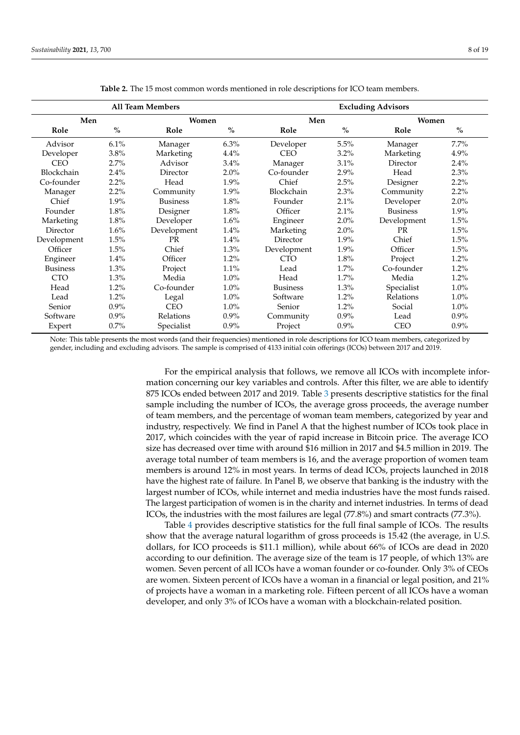<span id="page-7-0"></span>

| <b>All Team Members</b> |               |                 |         | <b>Excluding Advisors</b> |      |                 |               |  |
|-------------------------|---------------|-----------------|---------|---------------------------|------|-----------------|---------------|--|
| Men                     |               | Women           |         | Men                       |      | Women           |               |  |
| Role                    | $\frac{0}{0}$ | Role            | $\%$    | Role                      | $\%$ | Role            | $\frac{0}{0}$ |  |
| Advisor                 | 6.1%          | Manager         | 6.3%    | Developer                 | 5.5% | Manager         | 7.7%          |  |
| Developer               | 3.8%          | Marketing       | 4.4%    | <b>CEO</b>                | 3.2% | Marketing       | 4.9%          |  |
| <b>CEO</b>              | 2.7%          | Advisor         | 3.4%    | Manager                   | 3.1% | Director        | 2.4%          |  |
| Blockchain              | 2.4%          | Director        | $2.0\%$ | Co-founder                | 2.9% | Head            | 2.3%          |  |
| Co-founder              | 2.2%          | Head            | 1.9%    | Chief                     | 2.5% | Designer        | 2.2%          |  |
| Manager                 | 2.2%          | Community       | 1.9%    | Blockchain                | 2.3% | Community       | 2.2%          |  |
| Chief                   | 1.9%          | <b>Business</b> | 1.8%    | Founder                   | 2.1% | Developer       | 2.0%          |  |
| Founder                 | 1.8%          | Designer        | 1.8%    | Officer                   | 2.1% | <b>Business</b> | 1.9%          |  |
| Marketing               | 1.8%          | Developer       | 1.6%    | Engineer                  | 2.0% | Development     | 1.5%          |  |
| Director                | $1.6\%$       | Development     | 1.4%    | Marketing                 | 2.0% | <b>PR</b>       | 1.5%          |  |
| Development             | 1.5%          | <b>PR</b>       | 1.4%    | Director                  | 1.9% | Chief           | 1.5%          |  |
| Officer                 | 1.5%          | Chief           | 1.3%    | Development               | 1.9% | Officer         | 1.5%          |  |
| Engineer                | 1.4%          | Officer         | 1.2%    | <b>CTO</b>                | 1.8% | Project         | 1.2%          |  |
| <b>Business</b>         | 1.3%          | Project         | 1.1%    | Lead                      | 1.7% | Co-founder      | 1.2%          |  |
| <b>CTO</b>              | 1.3%          | Media           | $1.0\%$ | Head                      | 1.7% | Media           | 1.2%          |  |
| Head                    | 1.2%          | Co-founder      | $1.0\%$ | <b>Business</b>           | 1.3% | Specialist      | $1.0\%$       |  |
| Lead                    | 1.2%          | Legal           | $1.0\%$ | Software                  | 1.2% | Relations       | $1.0\%$       |  |
| Senior                  | $0.9\%$       | <b>CEO</b>      | $1.0\%$ | Senior                    | 1.2% | Social          | $1.0\%$       |  |
| Software                | $0.9\%$       | Relations       | $0.9\%$ | Community                 | 0.9% | Lead            | 0.9%          |  |
| Expert                  | 0.7%          | Specialist      | $0.9\%$ | Project                   | 0.9% | <b>CEO</b>      | 0.9%          |  |

**Table 2.** The 15 most common words mentioned in role descriptions for ICO team members.

Note: This table presents the most words (and their frequencies) mentioned in role descriptions for ICO team members, categorized by gender, including and excluding advisors. The sample is comprised of 4133 initial coin offerings (ICOs) between 2017 and 2019.

> For the empirical analysis that follows, we remove all ICOs with incomplete information concerning our key variables and controls. After this filter, we are able to identify 875 ICOs ended between 2017 and 2019. Table [3](#page-8-0) presents descriptive statistics for the final sample including the number of ICOs, the average gross proceeds, the average number of team members, and the percentage of woman team members, categorized by year and industry, respectively. We find in Panel A that the highest number of ICOs took place in 2017, which coincides with the year of rapid increase in Bitcoin price. The average ICO size has decreased over time with around \$16 million in 2017 and \$4.5 million in 2019. The average total number of team members is 16, and the average proportion of women team members is around 12% in most years. In terms of dead ICOs, projects launched in 2018 have the highest rate of failure. In Panel B, we observe that banking is the industry with the largest number of ICOs, while internet and media industries have the most funds raised. The largest participation of women is in the charity and internet industries. In terms of dead ICOs, the industries with the most failures are legal (77.8%) and smart contracts (77.3%).

> Table [4](#page-9-0) provides descriptive statistics for the full final sample of ICOs. The results show that the average natural logarithm of gross proceeds is 15.42 (the average, in U.S. dollars, for ICO proceeds is \$11.1 million), while about 66% of ICOs are dead in 2020 according to our definition. The average size of the team is 17 people, of which 13% are women. Seven percent of all ICOs have a woman founder or co-founder. Only 3% of CEOs are women. Sixteen percent of ICOs have a woman in a financial or legal position, and 21% of projects have a woman in a marketing role. Fifteen percent of all ICOs have a woman developer, and only 3% of ICOs have a woman with a blockchain-related position.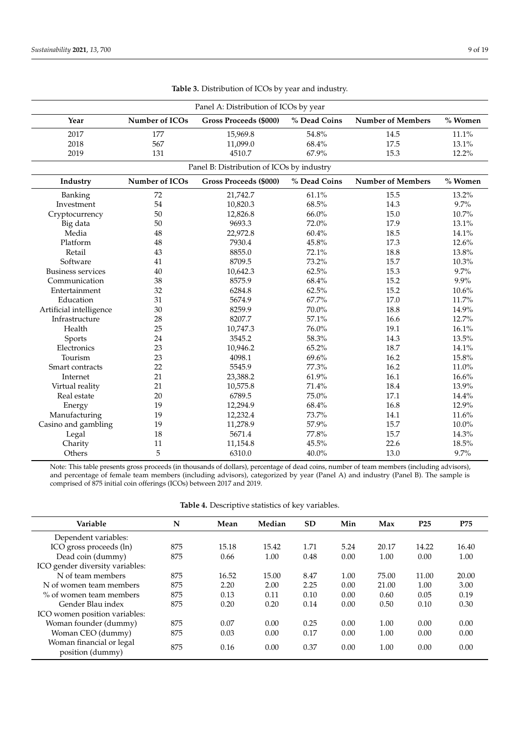<span id="page-8-0"></span>

| Panel A: Distribution of ICOs by year |                |                                           |              |                          |            |  |
|---------------------------------------|----------------|-------------------------------------------|--------------|--------------------------|------------|--|
| Year                                  | Number of ICOs | Gross Proceeds (\$000)                    | % Dead Coins | <b>Number of Members</b> | $\%$ Women |  |
| 2017                                  | 177            | 15,969.8                                  | 54.8%        | 14.5                     | 11.1%      |  |
| 2018                                  | 567            | 11,099.0                                  | 68.4%        | 17.5                     | 13.1%      |  |
| 2019                                  | 131            | 4510.7                                    | 67.9%        | 15.3                     | 12.2%      |  |
|                                       |                | Panel B: Distribution of ICOs by industry |              |                          |            |  |
| Industry                              | Number of ICOs | Gross Proceeds (\$000)                    | % Dead Coins | <b>Number of Members</b> | % Women    |  |
| Banking                               | 72             | 21,742.7                                  | 61.1%        | 15.5                     | 13.2%      |  |
| Investment                            | 54             | 10,820.3                                  | 68.5%        | 14.3                     | 9.7%       |  |
| Cryptocurrency                        | 50             | 12,826.8                                  | 66.0%        | 15.0                     | 10.7%      |  |
| Big data                              | 50             | 9693.3                                    | 72.0%        | 17.9                     | 13.1%      |  |
| Media                                 | 48             | 22,972.8                                  | 60.4%        | 18.5                     | 14.1%      |  |
| Platform                              | 48             | 7930.4                                    | 45.8%        | 17.3                     | 12.6%      |  |
| Retail                                | 43             | 8855.0                                    | 72.1%        | 18.8                     | 13.8%      |  |
| Software                              | 41             | 8709.5                                    | 73.2%        | 15.7                     | 10.3%      |  |
| <b>Business services</b>              | 40             | 10,642.3                                  | 62.5%        | 15.3                     | 9.7%       |  |
| Communication                         | 38             | 8575.9                                    | 68.4%        | 15.2                     | 9.9%       |  |
| Entertainment                         | 32             | 6284.8                                    | 62.5%        | 15.2                     | 10.6%      |  |
| Education                             | 31             | 5674.9                                    | 67.7%        | 17.0                     | 11.7%      |  |
| Artificial intelligence               | 30             | 8259.9                                    | 70.0%        | 18.8                     | 14.9%      |  |
| Infrastructure                        | 28             | 8207.7                                    | 57.1%        | 16.6                     | 12.7%      |  |
| Health                                | 25             | 10,747.3                                  | 76.0%        | 19.1                     | 16.1%      |  |
| Sports                                | 24             | 3545.2                                    | 58.3%        | 14.3                     | 13.5%      |  |
| Electronics                           | 23             | 10,946.2                                  | 65.2%        | 18.7                     | 14.1%      |  |
| Tourism                               | 23             | 4098.1                                    | 69.6%        | 16.2                     | 15.8%      |  |
| Smart contracts                       | 22             | 5545.9                                    | 77.3%        | 16.2                     | 11.0%      |  |
| Internet                              | 21             | 23,388.2                                  | 61.9%        | 16.1                     | 16.6%      |  |
| Virtual reality                       | 21             | 10,575.8                                  | 71.4%        | 18.4                     | 13.9%      |  |
| Real estate                           | 20             | 6789.5                                    | 75.0%        | 17.1                     | 14.4%      |  |
| Energy                                | 19             | 12,294.9                                  | 68.4%        | 16.8                     | 12.9%      |  |
| Manufacturing                         | 19             | 12,232.4                                  | 73.7%        | 14.1                     | 11.6%      |  |
| Casino and gambling                   | 19             | 11,278.9                                  | 57.9%        | 15.7                     | 10.0%      |  |
| Legal                                 | 18             | 5671.4                                    | 77.8%        | 15.7                     | 14.3%      |  |
| Charity                               | 11             | 11,154.8                                  | 45.5%        | 22.6                     | 18.5%      |  |
| Others                                | 5              | 6310.0                                    | 40.0%        | 13.0                     | 9.7%       |  |

| Table 3. Distribution of ICOs by year and industry. |  |  |
|-----------------------------------------------------|--|--|
|-----------------------------------------------------|--|--|

Note: This table presents gross proceeds (in thousands of dollars), percentage of dead coins, number of team members (including advisors), and percentage of female team members (including advisors), categorized by year (Panel A) and industry (Panel B). The sample is comprised of 875 initial coin offerings (ICOs) between 2017 and 2019.

**Table 4.** Descriptive statistics of key variables.

| Variable                                     | N   | Mean  | Median | <b>SD</b> | Min  | Max   | P <sub>25</sub> | P75   |
|----------------------------------------------|-----|-------|--------|-----------|------|-------|-----------------|-------|
| Dependent variables:                         |     |       |        |           |      |       |                 |       |
| ICO gross proceeds (ln)                      | 875 | 15.18 | 15.42  | 1.71      | 5.24 | 20.17 | 14.22           | 16.40 |
| Dead coin (dummy)                            | 875 | 0.66  | 1.00   | 0.48      | 0.00 | 1.00  | 0.00            | 1.00  |
| ICO gender diversity variables:              |     |       |        |           |      |       |                 |       |
| N of team members                            | 875 | 16.52 | 15.00  | 8.47      | 1.00 | 75.00 | 11.00           | 20.00 |
| N of women team members                      | 875 | 2.20  | 2.00   | 2.25      | 0.00 | 21.00 | 1.00            | 3.00  |
| % of women team members                      | 875 | 0.13  | 0.11   | 0.10      | 0.00 | 0.60  | 0.05            | 0.19  |
| Gender Blau index                            | 875 | 0.20  | 0.20   | 0.14      | 0.00 | 0.50  | 0.10            | 0.30  |
| ICO women position variables:                |     |       |        |           |      |       |                 |       |
| Woman founder (dummy)                        | 875 | 0.07  | 0.00   | 0.25      | 0.00 | 1.00  | 0.00            | 0.00  |
| Woman CEO (dummy)                            | 875 | 0.03  | 0.00   | 0.17      | 0.00 | 1.00  | 0.00            | 0.00  |
| Woman financial or legal<br>position (dummy) | 875 | 0.16  | 0.00   | 0.37      | 0.00 | 1.00  | 0.00            | 0.00  |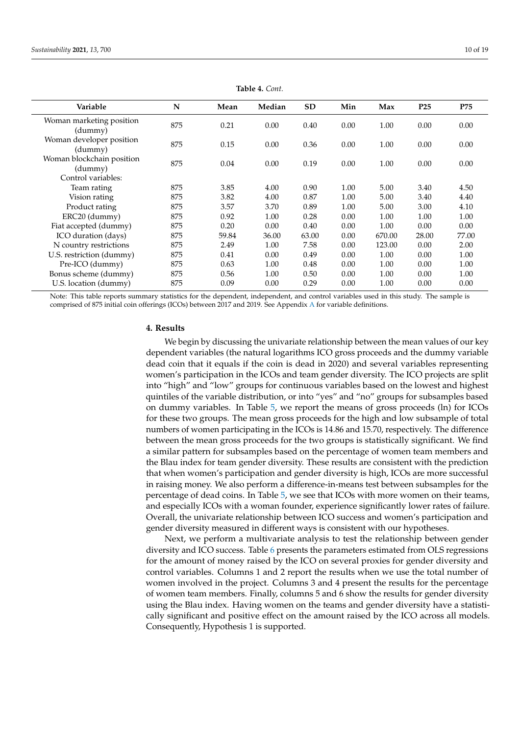<span id="page-9-0"></span>

| Variable                             | N   | Mean  | Median | <b>SD</b> | Min  | Max    | P <sub>25</sub> | P75   |
|--------------------------------------|-----|-------|--------|-----------|------|--------|-----------------|-------|
| Woman marketing position<br>(dummy)  | 875 | 0.21  | 0.00   | 0.40      | 0.00 | 1.00   | 0.00            | 0.00  |
| Woman developer position<br>(dummy)  | 875 | 0.15  | 0.00   | 0.36      | 0.00 | 1.00   | 0.00            | 0.00  |
| Woman blockchain position<br>(dummy) | 875 | 0.04  | 0.00   | 0.19      | 0.00 | 1.00   | 0.00            | 0.00  |
| Control variables:                   |     |       |        |           |      |        |                 |       |
| Team rating                          | 875 | 3.85  | 4.00   | 0.90      | 1.00 | 5.00   | 3.40            | 4.50  |
| Vision rating                        | 875 | 3.82  | 4.00   | 0.87      | 1.00 | 5.00   | 3.40            | 4.40  |
| Product rating                       | 875 | 3.57  | 3.70   | 0.89      | 1.00 | 5.00   | 3.00            | 4.10  |
| ERC20 (dummy)                        | 875 | 0.92  | 1.00   | 0.28      | 0.00 | 1.00   | 1.00            | 1.00  |
| Fiat accepted (dummy)                | 875 | 0.20  | 0.00   | 0.40      | 0.00 | 1.00   | 0.00            | 0.00  |
| ICO duration (days)                  | 875 | 59.84 | 36.00  | 63.00     | 0.00 | 670.00 | 28.00           | 77.00 |
| N country restrictions               | 875 | 2.49  | 1.00   | 7.58      | 0.00 | 123.00 | 0.00            | 2.00  |
| U.S. restriction (dummy)             | 875 | 0.41  | 0.00   | 0.49      | 0.00 | 1.00   | 0.00            | 1.00  |
| Pre-ICO (dummy)                      | 875 | 0.63  | 1.00   | 0.48      | 0.00 | 1.00   | 0.00            | 1.00  |
| Bonus scheme (dummy)                 | 875 | 0.56  | 1.00   | 0.50      | 0.00 | 1.00   | 0.00            | 1.00  |
| U.S. location (dummy)                | 875 | 0.09  | 0.00   | 0.29      | 0.00 | 1.00   | 0.00            | 0.00  |

**Table 4.** *Cont.*

Note: This table reports summary statistics for the dependent, independent, and control variables used in this study. The sample is comprised of 875 initial coin offerings (ICOs) between 2017 and 2019. See Appendix [A](#page-15-0) for variable definitions.

#### **4. Results**

We begin by discussing the univariate relationship between the mean values of our key dependent variables (the natural logarithms ICO gross proceeds and the dummy variable dead coin that it equals if the coin is dead in 2020) and several variables representing women's participation in the ICOs and team gender diversity. The ICO projects are split into "high" and "low" groups for continuous variables based on the lowest and highest quintiles of the variable distribution, or into "yes" and "no" groups for subsamples based on dummy variables. In Table [5,](#page-10-0) we report the means of gross proceeds (ln) for ICOs for these two groups. The mean gross proceeds for the high and low subsample of total numbers of women participating in the ICOs is 14.86 and 15.70, respectively. The difference between the mean gross proceeds for the two groups is statistically significant. We find a similar pattern for subsamples based on the percentage of women team members and the Blau index for team gender diversity. These results are consistent with the prediction that when women's participation and gender diversity is high, ICOs are more successful in raising money. We also perform a difference-in-means test between subsamples for the percentage of dead coins. In Table [5,](#page-10-0) we see that ICOs with more women on their teams, and especially ICOs with a woman founder, experience significantly lower rates of failure. Overall, the univariate relationship between ICO success and women's participation and gender diversity measured in different ways is consistent with our hypotheses.

Next, we perform a multivariate analysis to test the relationship between gender diversity and ICO success. Table [6](#page-11-0) presents the parameters estimated from OLS regressions for the amount of money raised by the ICO on several proxies for gender diversity and control variables. Columns 1 and 2 report the results when we use the total number of women involved in the project. Columns 3 and 4 present the results for the percentage of women team members. Finally, columns 5 and 6 show the results for gender diversity using the Blau index. Having women on the teams and gender diversity have a statistically significant and positive effect on the amount raised by the ICO across all models. Consequently, Hypothesis 1 is supported.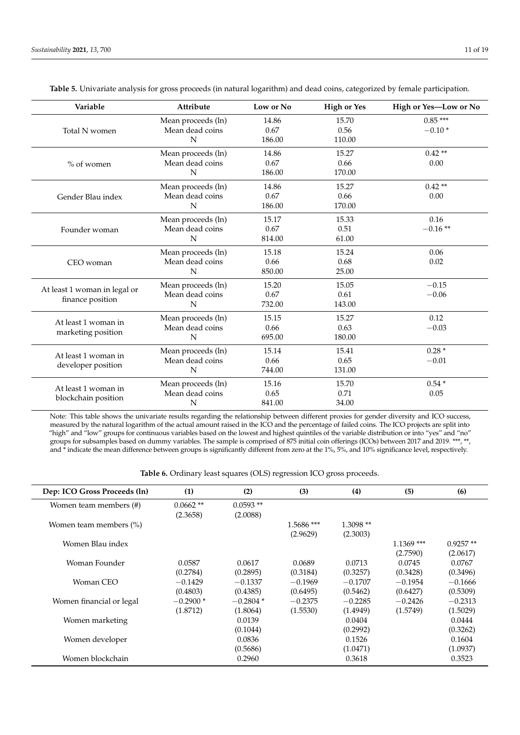blockchain position

| Variable                     | Attribute          | Low or No | <b>High or Yes</b> | High or Yes-Low or No |
|------------------------------|--------------------|-----------|--------------------|-----------------------|
|                              | Mean proceeds (ln) | 14.86     | 15.70              | $0.85***$             |
| Total N women                | Mean dead coins    | 0.67      | 0.56               | $-0.10*$              |
|                              | N                  | 186.00    | 110.00             |                       |
|                              | Mean proceeds (ln) | 14.86     | 15.27              | $0.42**$              |
| $%$ of women                 | Mean dead coins    | 0.67      | 0.66               | 0.00                  |
|                              | N                  | 186.00    | 170.00             |                       |
|                              | Mean proceeds (ln) | 14.86     | 15.27              | $0.42**$              |
| Gender Blau index            | Mean dead coins    | 0.67      | 0.66               | 0.00                  |
|                              | N                  | 186.00    | 170.00             |                       |
|                              | Mean proceeds (ln) | 15.17     | 15.33              | 0.16                  |
| Founder woman                | Mean dead coins    | 0.67      | 0.51               | $-0.16**$             |
|                              | N                  | 814.00    | 61.00              |                       |
|                              | Mean proceeds (ln) | 15.18     | 15.24              | 0.06                  |
| CEO woman                    | Mean dead coins    | 0.66      | 0.68               | 0.02                  |
|                              | N                  | 850.00    | 25.00              |                       |
|                              | Mean proceeds (ln) | 15.20     | 15.05              | $-0.15$               |
| At least 1 woman in legal or | Mean dead coins    | 0.67      | 0.61               | $-0.06$               |
| finance position             | N                  | 732.00    | 143.00             |                       |
| At least 1 woman in          | Mean proceeds (ln) | 15.15     | 15.27              | 0.12                  |
|                              | Mean dead coins    | 0.66      | 0.63               | $-0.03$               |
| marketing position           | N                  | 695.00    | 180.00             |                       |
| At least 1 woman in          | Mean proceeds (ln) | 15.14     | 15.41              | $0.28*$               |
|                              | Mean dead coins    | 0.66      | 0.65               | $-0.01$               |
| developer position           | N                  | 744.00    | 131.00             |                       |
| At least 1 woman in          | Mean proceeds (ln) | 15.16     | 15.70              | $0.54*$               |
|                              | Mean dead coins    | 0.65      | 0.71               | 0.05                  |

<span id="page-10-0"></span>**Table 5.** Univariate analysis for gross proceeds (in natural logarithm) and dead coins, categorized by female participation.

Note: This table shows the univariate results regarding the relationship between different proxies for gender diversity and ICO success, measured by the natural logarithm of the actual amount raised in the ICO and the percentage of failed coins. The ICO projects are split into "high" and "low" groups for continuous variables based on the lowest and highest quintiles of the variable distribution or into "yes" and "no" groups for subsamples based on dummy variables. The sample is comprised of 875 initial coin offerings (ICOs) between 2017 and 2019. \*\*\*, \*\*, and \* indicate the mean difference between groups is significantly different from zero at the 1%, 5%, and 10% significance level, respectively.

N 841.00 34.00

**Table 6.** Ordinary least squares (OLS) regression ICO gross proceeds.

| Dep: ICO Gross Proceeds (ln) | (1)         | (2)        | (3)          | (4)        | (5)          | (6)        |
|------------------------------|-------------|------------|--------------|------------|--------------|------------|
| Women team members (#)       | $0.0662$ ** | $0.0593**$ |              |            |              |            |
|                              | (2.3658)    | (2.0088)   |              |            |              |            |
| Women team members (%)       |             |            | $1.5686$ *** | $1.3098**$ |              |            |
|                              |             |            | (2.9629)     | (2.3003)   |              |            |
| Women Blau index             |             |            |              |            | $1.1369$ *** | $0.9257**$ |
|                              |             |            |              |            | (2.7590)     | (2.0617)   |
| Woman Founder                | 0.0587      | 0.0617     | 0.0689       | 0.0713     | 0.0745       | 0.0767     |
|                              | (0.2784)    | (0.2895)   | (0.3184)     | (0.3257)   | (0.3428)     | (0.3496)   |
| Woman CEO                    | $-0.1429$   | $-0.1337$  | $-0.1969$    | $-0.1707$  | $-0.1954$    | $-0.1666$  |
|                              | (0.4803)    | (0.4385)   | (0.6495)     | (0.5462)   | (0.6427)     | (0.5309)   |
| Women financial or legal     | $-0.2900*$  | $-0.2804*$ | $-0.2375$    | $-0.2285$  | $-0.2426$    | $-0.2313$  |
|                              | (1.8712)    | (1.8064)   | (1.5530)     | (1.4949)   | (1.5749)     | (1.5029)   |
| Women marketing              |             | 0.0139     |              | 0.0404     |              | 0.0444     |
|                              |             | (0.1044)   |              | (0.2992)   |              | (0.3262)   |
| Women developer              |             | 0.0836     |              | 0.1526     |              | 0.1604     |
|                              |             | (0.5686)   |              | (1.0471)   |              | (1.0937)   |
| Women blockchain             |             | 0.2960     |              | 0.3618     |              | 0.3523     |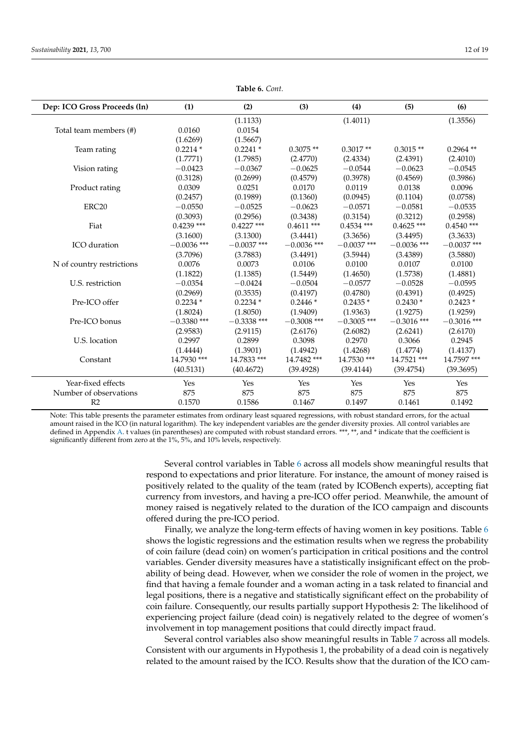<span id="page-11-0"></span>

| Dep: ICO Gross Proceeds (ln) | (1)           | (2)           | (3)           | (4)           | (5)           | (6)           |
|------------------------------|---------------|---------------|---------------|---------------|---------------|---------------|
|                              |               | (1.1133)      |               | (1.4011)      |               | (1.3556)      |
| Total team members (#)       | 0.0160        | 0.0154        |               |               |               |               |
|                              | (1.6269)      | (1.5667)      |               |               |               |               |
| Team rating                  | $0.2214*$     | $0.2241*$     | $0.3075**$    | $0.3017**$    | $0.3015**$    | $0.2964$ **   |
|                              | (1.7771)      | (1.7985)      | (2.4770)      | (2.4334)      | (2.4391)      | (2.4010)      |
| Vision rating                | $-0.0423$     | $-0.0367$     | $-0.0625$     | $-0.0544$     | $-0.0623$     | $-0.0545$     |
|                              | (0.3128)      | (0.2699)      | (0.4579)      | (0.3978)      | (0.4569)      | (0.3986)      |
| Product rating               | 0.0309        | 0.0251        | 0.0170        | 0.0119        | 0.0138        | 0.0096        |
|                              | (0.2457)      | (0.1989)      | (0.1360)      | (0.0945)      | (0.1104)      | (0.0758)      |
| ERC <sub>20</sub>            | $-0.0550$     | $-0.0525$     | $-0.0623$     | $-0.0571$     | $-0.0581$     | $-0.0535$     |
|                              | (0.3093)      | (0.2956)      | (0.3438)      | (0.3154)      | (0.3212)      | (0.2958)      |
| Fiat                         | $0.4239$ ***  | $0.4227$ ***  | $0.4611$ ***  | $0.4534$ ***  | $0.4625$ ***  | $0.4540$ ***  |
|                              | (3.1600)      | (3.1300)      | (3.4441)      | (3.3656)      | (3.4495)      | (3.3633)      |
| ICO duration                 | $-0.0036$ *** | $-0.0037$ *** | $-0.0036$ *** | $-0.0037$ *** | $-0.0036$ *** | $-0.0037$ *** |
|                              | (3.7096)      | (3.7883)      | (3.4491)      | (3.5944)      | (3.4389)      | (3.5880)      |
| N of country restrictions    | 0.0076        | 0.0073        | 0.0106        | 0.0100        | 0.0107        | 0.0100        |
|                              | (1.1822)      | (1.1385)      | (1.5449)      | (1.4650)      | (1.5738)      | (1.4881)      |
| U.S. restriction             | $-0.0354$     | $-0.0424$     | $-0.0504$     | $-0.0577$     | $-0.0528$     | $-0.0595$     |
|                              | (0.2969)      | (0.3535)      | (0.4197)      | (0.4780)      | (0.4391)      | (0.4925)      |
| Pre-ICO offer                | $0.2234*$     | $0.2234*$     | $0.2446*$     | $0.2435*$     | $0.2430*$     | $0.2423*$     |
|                              | (1.8024)      | (1.8050)      | (1.9409)      | (1.9363)      | (1.9275)      | (1.9259)      |
| Pre-ICO bonus                | $-0.3380$ *** | $-0.3338$ *** | $-0.3008$ *** | $-0.3005$ *** | $-0.3016$ *** | $-0.3016$ *** |
|                              | (2.9583)      | (2.9115)      | (2.6176)      | (2.6082)      | (2.6241)      | (2.6170)      |
| U.S. location                | 0.2997        | 0.2899        | 0.3098        | 0.2970        | 0.3066        | 0.2945        |
|                              | (1.4444)      | (1.3901)      | (1.4942)      | (1.4268)      | (1.4774)      | (1.4137)      |
| Constant                     | 14.7930 ***   | 14.7833 ***   | 14.7482 ***   | 14.7530 ***   | 14.7521 ***   | 14.7597 ***   |
|                              | (40.5131)     | (40.4672)     | (39.4928)     | (39.4144)     | (39.4754)     | (39.3695)     |
| Year-fixed effects           | Yes           | Yes           | Yes           | Yes           | Yes           | Yes           |
| Number of observations       | 875           | 875           | 875           | 875           | 875           | 875           |
| R <sub>2</sub>               | 0.1570        | 0.1586        | 0.1467        | 0.1497        | 0.1461        | 0.1492        |

**Table 6.** *Cont.*

Note: This table presents the parameter estimates from ordinary least squared regressions, with robust standard errors, for the actual amount raised in the ICO (in natural logarithm). The key independent variables are the gender diversity proxies. All control variables are defined in Appendix [A.](#page-15-0) t values (in parentheses) are computed with robust standard errors. \*\*\*, \*\*, and \* indicate that the coefficient is significantly different from zero at the 1%, 5%, and 10% levels, respectively.

> Several control variables in Table [6](#page-11-0) across all models show meaningful results that respond to expectations and prior literature. For instance, the amount of money raised is positively related to the quality of the team (rated by ICOBench experts), accepting fiat currency from investors, and having a pre-ICO offer period. Meanwhile, the amount of money raised is negatively related to the duration of the ICO campaign and discounts offered during the pre-ICO period.

> Finally, we analyze the long-term effects of having women in key positions. Table [6](#page-11-0) shows the logistic regressions and the estimation results when we regress the probability of coin failure (dead coin) on women's participation in critical positions and the control variables. Gender diversity measures have a statistically insignificant effect on the probability of being dead. However, when we consider the role of women in the project, we find that having a female founder and a woman acting in a task related to financial and legal positions, there is a negative and statistically significant effect on the probability of coin failure. Consequently, our results partially support Hypothesis 2: The likelihood of experiencing project failure (dead coin) is negatively related to the degree of women's involvement in top management positions that could directly impact fraud.

> Several control variables also show meaningful results in Table [7](#page-12-0) across all models. Consistent with our arguments in Hypothesis 1, the probability of a dead coin is negatively related to the amount raised by the ICO. Results show that the duration of the ICO cam-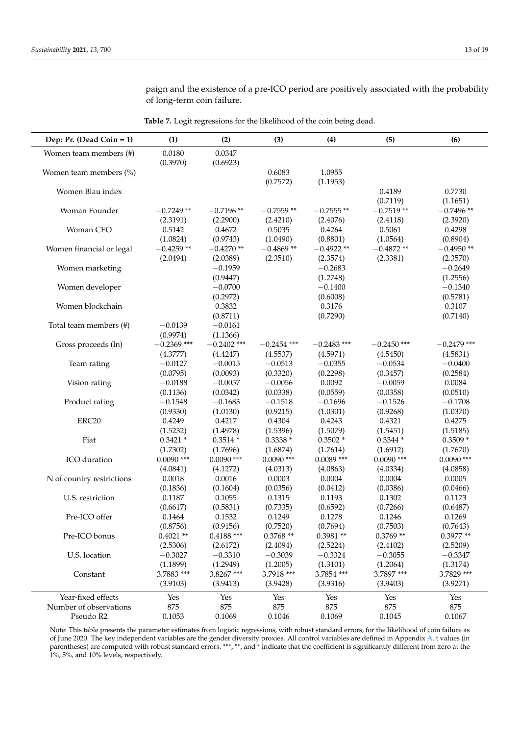<span id="page-12-0"></span>

| Dep: Pr. (Dead Coin = 1)  | (1)                | (2)                | (3)                | (4)                | (5)           | (6)           |
|---------------------------|--------------------|--------------------|--------------------|--------------------|---------------|---------------|
| Women team members (#)    | 0.0180<br>(0.3970) | 0.0347<br>(0.6923) |                    |                    |               |               |
| Women team members (%)    |                    |                    | 0.6083<br>(0.7572) | 1.0955<br>(1.1953) |               |               |
| Women Blau index          |                    |                    |                    |                    | 0.4189        | 0.7730        |
|                           |                    |                    |                    |                    | (0.7119)      | (1.1651)      |
| Woman Founder             | $-0.7249**$        | $-0.7196**$        | $-0.7559**$        | $-0.7555**$        | $-0.7519**$   | $-0.7496**$   |
|                           | (2.3191)           | (2.2900)           | (2.4210)           | (2.4076)           | (2.4118)      | (2.3920)      |
| Woman CEO                 | 0.5142             | 0.4672             | 0.5035             | 0.4264             | 0.5061        | 0.4298        |
|                           | (1.0824)           | (0.9743)           | (1.0490)           | (0.8801)           | (1.0564)      | (0.8904)      |
| Women financial or legal  | $-0.4259**$        | $-0.4270**$        | $-0.4869**$        | $-0.4922**$        | $-0.4872**$   | $-0.4950**$   |
|                           | (2.0494)           | (2.0389)           | (2.3510)           | (2.3574)           | (2.3381)      | (2.3570)      |
| Women marketing           |                    | $-0.1959$          |                    | $-0.2683$          |               | $-0.2649$     |
|                           |                    | (0.9447)           |                    | (1.2748)           |               | (1.2556)      |
| Women developer           |                    | $-0.0700$          |                    | $-0.1400$          |               | $-0.1340$     |
|                           |                    | (0.2972)           |                    | (0.6008)           |               | (0.5781)      |
| Women blockchain          |                    | 0.3832             |                    | 0.3176             |               | 0.3107        |
|                           |                    | (0.8711)           |                    | (0.7290)           |               | (0.7140)      |
| Total team members (#)    | $-0.0139$          | $-0.0161$          |                    |                    |               |               |
|                           | (0.9974)           | (1.1366)           |                    |                    |               |               |
| Gross proceeds (ln)       | $-0.2369$ ***      | $-0.2402$ ***      | $-0.2454$ ***      | $-0.2483$ ***      | $-0.2450$ *** | $-0.2479$ *** |
|                           | (4.3777)           | (4.4247)           | (4.5537)           | (4.5971)           | (4.5450)      | (4.5831)      |
| Team rating               | $-0.0127$          | $-0.0015$          | $-0.0513$          | $-0.0355$          | $-0.0534$     | $-0.0400$     |
|                           | (0.0795)           | (0.0093)           | (0.3320)           | (0.2298)           | (0.3457)      | (0.2584)      |
| Vision rating             | $-0.0188$          | $-0.0057$          | $-0.0056$          | 0.0092             | $-0.0059$     | 0.0084        |
|                           | (0.1136)           | (0.0342)           | (0.0338)           | (0.0559)           | (0.0358)      | (0.0510)      |
| Product rating            | $-0.1548$          | $-0.1683$          | $-0.1518$          | $-0.1696$          | $-0.1526$     | $-0.1708$     |
|                           | (0.9330)           | (1.0130)           | (0.9215)           | (1.0301)           | (0.9268)      | (1.0370)      |
| ERC <sub>20</sub>         | 0.4249             | 0.4217             | 0.4304             | 0.4243             | 0.4321        | 0.4275        |
|                           | (1.5232)           | (1.4978)           | (1.5396)           | (1.5079)           | (1.5451)      | (1.5185)      |
| Fiat                      | $0.3421*$          | $0.3514*$          | $0.3338*$          | $0.3502*$          | $0.3344*$     | $0.3509*$     |
|                           | (1.7302)           | (1.7696)           | (1.6874)           | (1.7614)           | (1.6912)      | (1.7670)      |
| ICO duration              | $0.0090$ ***       | $0.0090$ ***       | $0.0090$ ***       | $0.0089$ ***       | $0.0090$ ***  | $0.0090$ ***  |
|                           | (4.0841)           | (4.1272)           | (4.0313)           | (4.0863)           | (4.0334)      | (4.0858)      |
| N of country restrictions | 0.0018             | 0.0016             | 0.0003             | 0.0004             | 0.0004        | 0.0005        |
|                           | (0.1836)           | (0.1604)           | (0.0356)           | (0.0412)           | (0.0386)      | (0.0466)      |
| U.S. restriction          | 0.1187             | 0.1055             | 0.1315             | 0.1193             | 0.1302        | 0.1173        |
|                           | (0.6617)           | (0.5831)           | (0.7335)           | (0.6592)           | (0.7266)      | (0.6487)      |
| Pre-ICO offer             | 0.1464             | 0.1532             | 0.1249             | 0.1278             | 0.1246        | 0.1269        |
|                           | (0.8756)           | (0.9156)           | (0.7520)           | (0.7694)           | (0.7503)      | (0.7643)      |
| Pre-ICO bonus             | $0.4021**$         | $0.4188$ ***       | $0.3768**$         | $0.3981**$         | $0.3769**$    | $0.3977**$    |
|                           | (2.5306)           | (2.6172)           | (2.4094)           | (2.5224)           | (2.4102)      | (2.5209)      |
| U.S. location             | $-0.3027$          | $-0.3310$          | $-0.3039$          | $-0.3324$          | $-0.3055$     | $-0.3347$     |
|                           | (1.1899)           | (1.2949)           | (1.2005)           | (1.3101)           | (1.2064)      | (1.3174)      |
| Constant                  | 3.7883 ***         | 3.8267***          | 3.7918 ***         | 3.7854 ***         | 3.7897***     | 3.7829 ***    |
|                           | (3.9103)           | (3.9413)           | (3.9428)           | (3.9316)           | (3.9403)      | (3.9271)      |
| Year-fixed effects        | Yes                | Yes                | Yes                | Yes                | Yes           | Yes           |
| Number of observations    | 875                | 875                | 875                | 875                | 875           | 875           |
| Pseudo R2                 | 0.1053             | 0.1069             | 0.1046             | 0.1069             | 0.1045        | 0.1067        |

paign and the existence of a pre-ICO period are positively associated with the probability of long-term coin failure.

**Table 7.** Logit regressions for the likelihood of the coin being dead.

Note: This table presents the parameter estimates from logistic regressions, with robust standard errors, for the likelihood of coin failure as of June 2020. The key independent variables are the gender diversity proxies. All control variables are defined in Appendix [A.](#page-15-0) t values (in parentheses) are computed with robust standard errors. \*\*\*, \*\*, and \* indicate that the coefficient is significantly different from zero at the 1%, 5%, and 10% levels, respectively.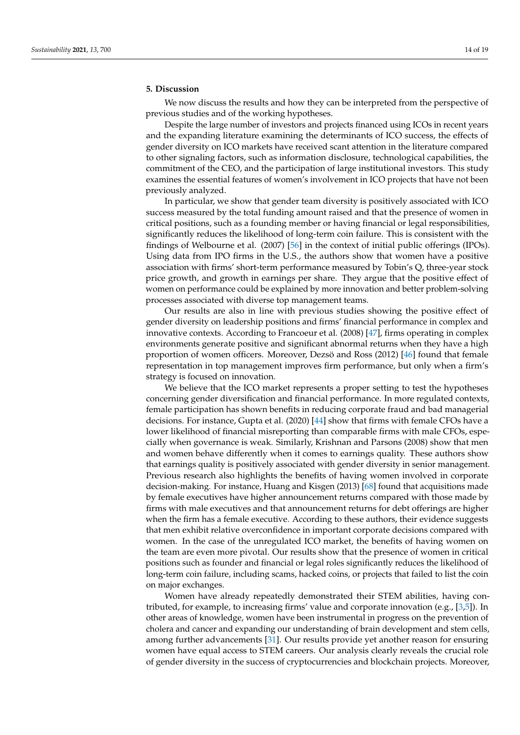## **5. Discussion**

We now discuss the results and how they can be interpreted from the perspective of previous studies and of the working hypotheses.

Despite the large number of investors and projects financed using ICOs in recent years and the expanding literature examining the determinants of ICO success, the effects of gender diversity on ICO markets have received scant attention in the literature compared to other signaling factors, such as information disclosure, technological capabilities, the commitment of the CEO, and the participation of large institutional investors. This study examines the essential features of women's involvement in ICO projects that have not been previously analyzed.

In particular, we show that gender team diversity is positively associated with ICO success measured by the total funding amount raised and that the presence of women in critical positions, such as a founding member or having financial or legal responsibilities, significantly reduces the likelihood of long-term coin failure. This is consistent with the findings of Welbourne et al. (2007) [\[56\]](#page-17-16) in the context of initial public offerings (IPOs). Using data from IPO firms in the U.S., the authors show that women have a positive association with firms' short-term performance measured by Tobin's Q, three-year stock price growth, and growth in earnings per share. They argue that the positive effect of women on performance could be explained by more innovation and better problem-solving processes associated with diverse top management teams.

Our results are also in line with previous studies showing the positive effect of gender diversity on leadership positions and firms' financial performance in complex and innovative contexts. According to Francoeur et al. (2008) [\[47\]](#page-17-9), firms operating in complex environments generate positive and significant abnormal returns when they have a high proportion of women officers. Moreover, Dezsö and Ross (2012) [\[46\]](#page-17-8) found that female representation in top management improves firm performance, but only when a firm's strategy is focused on innovation.

We believe that the ICO market represents a proper setting to test the hypotheses concerning gender diversification and financial performance. In more regulated contexts, female participation has shown benefits in reducing corporate fraud and bad managerial decisions. For instance, Gupta et al. (2020) [\[44\]](#page-17-29) show that firms with female CFOs have a lower likelihood of financial misreporting than comparable firms with male CFOs, especially when governance is weak. Similarly, Krishnan and Parsons (2008) show that men and women behave differently when it comes to earnings quality. These authors show that earnings quality is positively associated with gender diversity in senior management. Previous research also highlights the benefits of having women involved in corporate decision-making. For instance, Huang and Kisgen (2013) [\[68\]](#page-18-2) found that acquisitions made by female executives have higher announcement returns compared with those made by firms with male executives and that announcement returns for debt offerings are higher when the firm has a female executive. According to these authors, their evidence suggests that men exhibit relative overconfidence in important corporate decisions compared with women. In the case of the unregulated ICO market, the benefits of having women on the team are even more pivotal. Our results show that the presence of women in critical positions such as founder and financial or legal roles significantly reduces the likelihood of long-term coin failure, including scams, hacked coins, or projects that failed to list the coin on major exchanges.

Women have already repeatedly demonstrated their STEM abilities, having contributed, for example, to increasing firms' value and corporate innovation (e.g., [\[3,](#page-16-2)[5\]](#page-16-13)). In other areas of knowledge, women have been instrumental in progress on the prevention of cholera and cancer and expanding our understanding of brain development and stem cells, among further advancements [\[31\]](#page-16-12). Our results provide yet another reason for ensuring women have equal access to STEM careers. Our analysis clearly reveals the crucial role of gender diversity in the success of cryptocurrencies and blockchain projects. Moreover,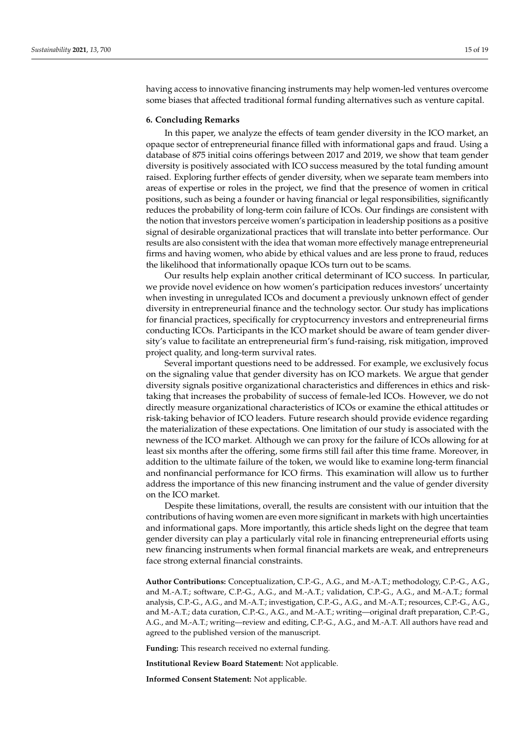having access to innovative financing instruments may help women-led ventures overcome some biases that affected traditional formal funding alternatives such as venture capital.

#### **6. Concluding Remarks**

In this paper, we analyze the effects of team gender diversity in the ICO market, an opaque sector of entrepreneurial finance filled with informational gaps and fraud. Using a database of 875 initial coins offerings between 2017 and 2019, we show that team gender diversity is positively associated with ICO success measured by the total funding amount raised. Exploring further effects of gender diversity, when we separate team members into areas of expertise or roles in the project, we find that the presence of women in critical positions, such as being a founder or having financial or legal responsibilities, significantly reduces the probability of long-term coin failure of ICOs. Our findings are consistent with the notion that investors perceive women's participation in leadership positions as a positive signal of desirable organizational practices that will translate into better performance. Our results are also consistent with the idea that woman more effectively manage entrepreneurial firms and having women, who abide by ethical values and are less prone to fraud, reduces the likelihood that informationally opaque ICOs turn out to be scams.

Our results help explain another critical determinant of ICO success. In particular, we provide novel evidence on how women's participation reduces investors' uncertainty when investing in unregulated ICOs and document a previously unknown effect of gender diversity in entrepreneurial finance and the technology sector. Our study has implications for financial practices, specifically for cryptocurrency investors and entrepreneurial firms conducting ICOs. Participants in the ICO market should be aware of team gender diversity's value to facilitate an entrepreneurial firm's fund-raising, risk mitigation, improved project quality, and long-term survival rates.

Several important questions need to be addressed. For example, we exclusively focus on the signaling value that gender diversity has on ICO markets. We argue that gender diversity signals positive organizational characteristics and differences in ethics and risktaking that increases the probability of success of female-led ICOs. However, we do not directly measure organizational characteristics of ICOs or examine the ethical attitudes or risk-taking behavior of ICO leaders. Future research should provide evidence regarding the materialization of these expectations. One limitation of our study is associated with the newness of the ICO market. Although we can proxy for the failure of ICOs allowing for at least six months after the offering, some firms still fail after this time frame. Moreover, in addition to the ultimate failure of the token, we would like to examine long-term financial and nonfinancial performance for ICO firms. This examination will allow us to further address the importance of this new financing instrument and the value of gender diversity on the ICO market.

Despite these limitations, overall, the results are consistent with our intuition that the contributions of having women are even more significant in markets with high uncertainties and informational gaps. More importantly, this article sheds light on the degree that team gender diversity can play a particularly vital role in financing entrepreneurial efforts using new financing instruments when formal financial markets are weak, and entrepreneurs face strong external financial constraints.

**Author Contributions:** Conceptualization, C.P.-G., A.G., and M.-A.T.; methodology, C.P.-G., A.G., and M.-A.T.; software, C.P.-G., A.G., and M.-A.T.; validation, C.P.-G., A.G., and M.-A.T.; formal analysis, C.P.-G., A.G., and M.-A.T.; investigation, C.P.-G., A.G., and M.-A.T.; resources, C.P.-G., A.G., and M.-A.T.; data curation, C.P.-G., A.G., and M.-A.T.; writing—original draft preparation, C.P.-G., A.G., and M.-A.T.; writing—review and editing, C.P.-G., A.G., and M.-A.T. All authors have read and agreed to the published version of the manuscript.

**Funding:** This research received no external funding.

**Institutional Review Board Statement:** Not applicable.

**Informed Consent Statement:** Not applicable.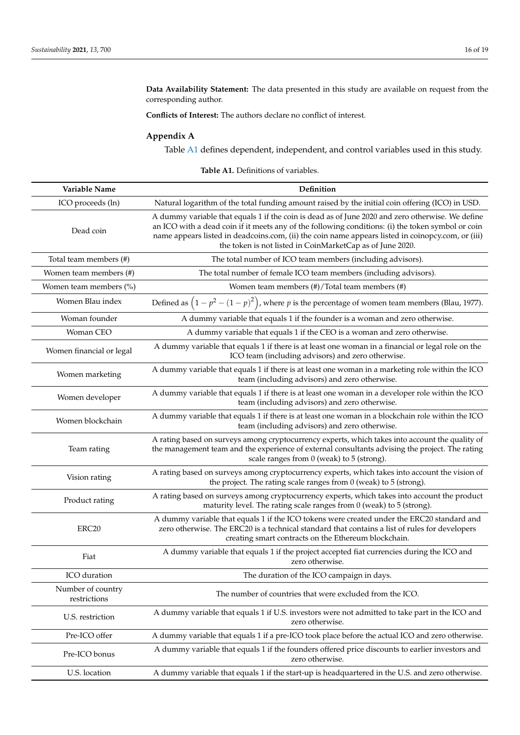**Data Availability Statement:** The data presented in this study are available on request from the corresponding author.

**Conflicts of Interest:** The authors declare no conflict of interest.

# <span id="page-15-0"></span>**Appendix A**

Table [A1](#page-15-1) defines dependent, independent, and control variables used in this study.

<span id="page-15-1"></span>

| Variable Name                     | Definition                                                                                                                                                                                                                                                                                                                                                              |
|-----------------------------------|-------------------------------------------------------------------------------------------------------------------------------------------------------------------------------------------------------------------------------------------------------------------------------------------------------------------------------------------------------------------------|
| ICO proceeds (ln)                 | Natural logarithm of the total funding amount raised by the initial coin offering (ICO) in USD.                                                                                                                                                                                                                                                                         |
| Dead coin                         | A dummy variable that equals 1 if the coin is dead as of June 2020 and zero otherwise. We define<br>an ICO with a dead coin if it meets any of the following conditions: (i) the token symbol or coin<br>name appears listed in deadcoins.com, (ii) the coin name appears listed in coinopcy.com, or (iii)<br>the token is not listed in CoinMarketCap as of June 2020. |
| Total team members (#)            | The total number of ICO team members (including advisors).                                                                                                                                                                                                                                                                                                              |
| Women team members (#)            | The total number of female ICO team members (including advisors).                                                                                                                                                                                                                                                                                                       |
| Women team members (%)            | Women team members (#)/Total team members (#)                                                                                                                                                                                                                                                                                                                           |
| Women Blau index                  | Defined as $(1 - p^2 - (1 - p)^2)$ , where p is the percentage of women team members (Blau, 1977).                                                                                                                                                                                                                                                                      |
| Woman founder                     | A dummy variable that equals 1 if the founder is a woman and zero otherwise.                                                                                                                                                                                                                                                                                            |
| Woman CEO                         | A dummy variable that equals 1 if the CEO is a woman and zero otherwise.                                                                                                                                                                                                                                                                                                |
| Women financial or legal          | A dummy variable that equals 1 if there is at least one woman in a financial or legal role on the<br>ICO team (including advisors) and zero otherwise.                                                                                                                                                                                                                  |
| Women marketing                   | A dummy variable that equals 1 if there is at least one woman in a marketing role within the ICO<br>team (including advisors) and zero otherwise.                                                                                                                                                                                                                       |
| Women developer                   | A dummy variable that equals 1 if there is at least one woman in a developer role within the ICO<br>team (including advisors) and zero otherwise.                                                                                                                                                                                                                       |
| Women blockchain                  | A dummy variable that equals 1 if there is at least one woman in a blockchain role within the ICO<br>team (including advisors) and zero otherwise.                                                                                                                                                                                                                      |
| Team rating                       | A rating based on surveys among cryptocurrency experts, which takes into account the quality of<br>the management team and the experience of external consultants advising the project. The rating<br>scale ranges from 0 (weak) to 5 (strong).                                                                                                                         |
| Vision rating                     | A rating based on surveys among cryptocurrency experts, which takes into account the vision of<br>the project. The rating scale ranges from $0$ (weak) to $5$ (strong).                                                                                                                                                                                                 |
| Product rating                    | A rating based on surveys among cryptocurrency experts, which takes into account the product<br>maturity level. The rating scale ranges from $0$ (weak) to $5$ (strong).                                                                                                                                                                                                |
| ERC <sub>20</sub>                 | A dummy variable that equals 1 if the ICO tokens were created under the ERC20 standard and<br>zero otherwise. The ERC20 is a technical standard that contains a list of rules for developers<br>creating smart contracts on the Ethereum blockchain.                                                                                                                    |
| Fiat                              | A dummy variable that equals 1 if the project accepted fiat currencies during the ICO and<br>zero otherwise.                                                                                                                                                                                                                                                            |
| ICO duration                      | The duration of the ICO campaign in days.                                                                                                                                                                                                                                                                                                                               |
| Number of country<br>restrictions | The number of countries that were excluded from the ICO.                                                                                                                                                                                                                                                                                                                |
| U.S. restriction                  | A dummy variable that equals 1 if U.S. investors were not admitted to take part in the ICO and<br>zero otherwise.                                                                                                                                                                                                                                                       |
| Pre-ICO offer                     | A dummy variable that equals 1 if a pre-ICO took place before the actual ICO and zero otherwise.                                                                                                                                                                                                                                                                        |
| Pre-ICO bonus                     | A dummy variable that equals 1 if the founders offered price discounts to earlier investors and<br>zero otherwise.                                                                                                                                                                                                                                                      |
| U.S. location                     | A dummy variable that equals 1 if the start-up is headquartered in the U.S. and zero otherwise.                                                                                                                                                                                                                                                                         |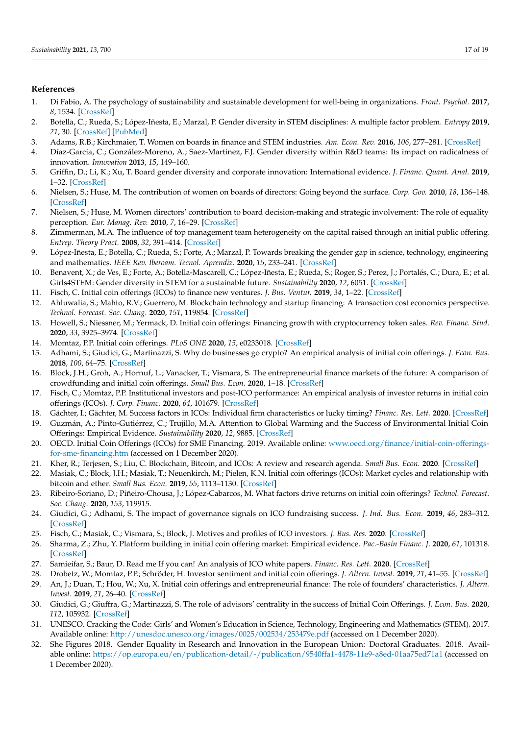## **References**

- <span id="page-16-0"></span>1. Di Fabio, A. The psychology of sustainability and sustainable development for well-being in organizations. *Front. Psychol.* **2017**, *8*, 1534. [\[CrossRef\]](http://doi.org/10.3389/fpsyg.2017.01534)
- <span id="page-16-1"></span>2. Botella, C.; Rueda, S.; López-Iñesta, E.; Marzal, P. Gender diversity in STEM disciplines: A multiple factor problem. *Entropy* **2019**, *21*, 30. [\[CrossRef\]](http://doi.org/10.3390/e21010030) [\[PubMed\]](http://www.ncbi.nlm.nih.gov/pubmed/33266746)
- <span id="page-16-2"></span>3. Adams, R.B.; Kirchmaier, T. Women on boards in finance and STEM industries. *Am. Econ. Rev.* **2016**, *106*, 277–281. [\[CrossRef\]](http://doi.org/10.1257/aer.p20161034)
- <span id="page-16-3"></span>4. Díaz-García, C.; González-Moreno, A.; Saez-Martinez, F.J. Gender diversity within R&D teams: Its impact on radicalness of innovation. *Innovation* **2013**, *15*, 149–160.
- <span id="page-16-13"></span>5. Griffin, D.; Li, K.; Xu, T. Board gender diversity and corporate innovation: International evidence. *J. Financ. Quant. Anal.* **2019**, 1–32. [\[CrossRef\]](http://doi.org/10.1017/S002210901900098X)
- 6. Nielsen, S.; Huse, M. The contribution of women on boards of directors: Going beyond the surface. *Corp. Gov.* **2010**, *18*, 136–148. [\[CrossRef\]](http://doi.org/10.1111/j.1467-8683.2010.00784.x)
- 7. Nielsen, S.; Huse, M. Women directors' contribution to board decision-making and strategic involvement: The role of equality perception. *Eur. Manag. Rev.* **2010**, *7*, 16–29. [\[CrossRef\]](http://doi.org/10.1057/emr.2009.27)
- <span id="page-16-4"></span>8. Zimmerman, M.A. The influence of top management team heterogeneity on the capital raised through an initial public offering. *Entrep. Theory Pract.* **2008**, *32*, 391–414. [\[CrossRef\]](http://doi.org/10.1111/j.1540-6520.2008.00233.x)
- <span id="page-16-5"></span>9. López-Iñesta, E.; Botella, C.; Rueda, S.; Forte, A.; Marzal, P. Towards breaking the gender gap in science, technology, engineering and mathematics. *IEEE Rev. Iberoam. Tecnol. Aprendiz.* **2020**, *15*, 233–241. [\[CrossRef\]](http://doi.org/10.1109/RITA.2020.3008114)
- <span id="page-16-6"></span>10. Benavent, X.; de Ves, E.; Forte, A.; Botella-Mascarell, C.; López-Iñesta, E.; Rueda, S.; Roger, S.; Perez, J.; Portalés, C.; Dura, E.; et al. Girls4STEM: Gender diversity in STEM for a sustainable future. *Sustainability* **2020**, *12*, 6051. [\[CrossRef\]](http://doi.org/10.3390/su12156051)
- <span id="page-16-7"></span>11. Fisch, C. Initial coin offerings (ICOs) to finance new ventures. *J. Bus. Ventur.* **2019**, *34*, 1–22. [\[CrossRef\]](http://doi.org/10.1016/j.jbusvent.2018.09.007)
- 12. Ahluwalia, S.; Mahto, R.V.; Guerrero, M. Blockchain technology and startup financing: A transaction cost economics perspective. *Technol. Forecast. Soc. Chang.* **2020**, *151*, 119854. [\[CrossRef\]](http://doi.org/10.1016/j.techfore.2019.119854)
- <span id="page-16-15"></span>13. Howell, S.; Niessner, M.; Yermack, D. Initial coin offerings: Financing growth with cryptocurrency token sales. *Rev. Financ. Stud.* **2020**, *33*, 3925–3974. [\[CrossRef\]](http://doi.org/10.1093/rfs/hhz131)
- <span id="page-16-17"></span>14. Momtaz, P.P. Initial coin offerings. *PLoS ONE* **2020**, *15*, e0233018. [\[CrossRef\]](http://doi.org/10.1371/journal.pone.0233018)
- 15. Adhami, S.; Giudici, G.; Martinazzi, S. Why do businesses go crypto? An empirical analysis of initial coin offerings. *J. Econ. Bus.* **2018**, *100*, 64–75. [\[CrossRef\]](http://doi.org/10.1016/j.jeconbus.2018.04.001)
- <span id="page-16-14"></span>16. Block, J.H.; Groh, A.; Hornuf, L.; Vanacker, T.; Vismara, S. The entrepreneurial finance markets of the future: A comparison of crowdfunding and initial coin offerings. *Small Bus. Econ.* **2020**, 1–18. [\[CrossRef\]](http://doi.org/10.1007/s11187-020-00330-2)
- <span id="page-16-16"></span>17. Fisch, C.; Momtaz, P.P. Institutional investors and post-ICO performance: An empirical analysis of investor returns in initial coin offerings (ICOs). *J. Corp. Financ.* **2020**, *64*, 101679. [\[CrossRef\]](http://doi.org/10.1016/j.jcorpfin.2020.101679)
- 18. Gächter, I.; Gächter, M. Success factors in ICOs: Individual firm characteristics or lucky timing? *Financ. Res. Lett.* **2020**. [\[CrossRef\]](http://doi.org/10.1016/j.frl.2020.101715)
- <span id="page-16-8"></span>19. Guzmán, A.; Pinto-Gutiérrez, C.; Trujillo, M.A. Attention to Global Warming and the Success of Environmental Initial Coin Offerings: Empirical Evidence. *Sustainability* **2020**, *12*, 9885. [\[CrossRef\]](http://doi.org/10.3390/su12239885)
- <span id="page-16-9"></span>20. OECD. Initial Coin Offerings (ICOs) for SME Financing. 2019. Available online: [www.oecd.org/finance/initial-coin-offerings](www.oecd.org/finance/initial-coin-offerings-for-sme-financing.htm)[for-sme-financing.htm](www.oecd.org/finance/initial-coin-offerings-for-sme-financing.htm) (accessed on 1 December 2020).
- <span id="page-16-10"></span>21. Kher, R.; Terjesen, S.; Liu, C. Blockchain, Bitcoin, and ICOs: A review and research agenda. *Small Bus. Econ.* **2020**. [\[CrossRef\]](http://doi.org/10.1007/s11187-019-00286-y)
- 22. Masiak, C.; Block, J.H.; Masiak, T.; Neuenkirch, M.; Pielen, K.N. Initial coin offerings (ICOs): Market cycles and relationship with bitcoin and ether. *Small Bus. Econ.* **2019**, *55*, 1113–1130. [\[CrossRef\]](http://doi.org/10.1007/s11187-019-00176-3)
- 23. Ribeiro-Soriano, D.; Piñeiro-Chousa, J.; López-Cabarcos, M. What factors drive returns on initial coin offerings? *Technol. Forecast. Soc. Chang.* **2020**, *153*, 119915.
- 24. Giudici, G.; Adhami, S. The impact of governance signals on ICO fundraising success. *J. Ind. Bus. Econ.* **2019**, *46*, 283–312. [\[CrossRef\]](http://doi.org/10.1007/s40812-019-00118-w)
- 25. Fisch, C.; Masiak, C.; Vismara, S.; Block, J. Motives and profiles of ICO investors. *J. Bus. Res.* **2020**. [\[CrossRef\]](http://doi.org/10.1016/j.jbusres.2019.07.036)
- 26. Sharma, Z.; Zhu, Y. Platform building in initial coin offering market: Empirical evidence. *Pac.-Basin Financ. J.* **2020**, *61*, 101318. [\[CrossRef\]](http://doi.org/10.1016/j.pacfin.2020.101318)
- 27. Samieifar, S.; Baur, D. Read me If you can! An analysis of ICO white papers. *Financ. Res. Lett.* **2020**. [\[CrossRef\]](http://doi.org/10.1016/j.frl.2020.101427)
- 28. Drobetz, W.; Momtaz, P.P.; Schröder, H. Investor sentiment and initial coin offerings. *J. Altern. Invest.* **2019**, *21*, 41–55. [\[CrossRef\]](http://doi.org/10.3905/jai.2019.1.069)
- 29. An, J.; Duan, T.; Hou, W.; Xu, X. Initial coin offerings and entrepreneurial finance: The role of founders' characteristics. *J. Altern. Invest.* **2019**, *21*, 26–40. [\[CrossRef\]](http://doi.org/10.3905/jai.2019.1.068)
- <span id="page-16-11"></span>30. Giudici, G.; Giuffra, G.; Martinazzi, S. The role of advisors' centrality in the success of Initial Coin Offerings. *J. Econ. Bus.* **2020**, *112*, 105932. [\[CrossRef\]](http://doi.org/10.1016/j.jeconbus.2020.105932)
- <span id="page-16-12"></span>31. UNESCO. Cracking the Code: Girls' and Women's Education in Science, Technology, Engineering and Mathematics (STEM). 2017. Available online: <http://unesdoc.unesco.org/images/0025/002534/253479e.pdf> (accessed on 1 December 2020).
- 32. She Figures 2018. Gender Equality in Research and Innovation in the European Union: Doctoral Graduates. 2018. Available online: <https://op.europa.eu/en/publication-detail/-/publication/9540ffa1-4478-11e9-a8ed-01aa75ed71a1> (accessed on 1 December 2020).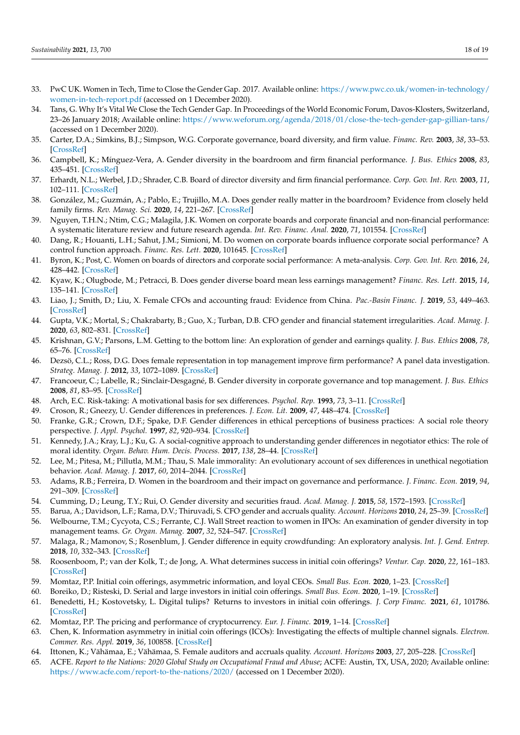- <span id="page-17-0"></span>33. PwC UK. Women in Tech, Time to Close the Gender Gap. 2017. Available online: [https://www.pwc.co.uk/women-in-technology/](https://www.pwc.co.uk/women-in-technology/women-in-tech-report.pdf) [women-in-tech-report.pdf](https://www.pwc.co.uk/women-in-technology/women-in-tech-report.pdf) (accessed on 1 December 2020).
- <span id="page-17-1"></span>34. Tans, G. Why It's Vital We Close the Tech Gender Gap. In Proceedings of the World Economic Forum, Davos-Klosters, Switzerland, 23–26 January 2018; Available online: <https://www.weforum.org/agenda/2018/01/close-the-tech-gender-gap-gillian-tans/> (accessed on 1 December 2020).
- <span id="page-17-2"></span>35. Carter, D.A.; Simkins, B.J.; Simpson, W.G. Corporate governance, board diversity, and firm value. *Financ. Rev.* **2003**, *38*, 33–53. [\[CrossRef\]](http://doi.org/10.1111/1540-6288.00034)
- 36. Campbell, K.; Mínguez-Vera, A. Gender diversity in the boardroom and firm financial performance. *J. Bus. Ethics* **2008**, *83*, 435–451. [\[CrossRef\]](http://doi.org/10.1007/s10551-007-9630-y)
- <span id="page-17-23"></span>37. Erhardt, N.L.; Werbel, J.D.; Shrader, C.B. Board of director diversity and firm financial performance. *Corp. Gov. Int. Rev.* **2003**, *11*, 102–111. [\[CrossRef\]](http://doi.org/10.1111/1467-8683.00011)
- 38. González, M.; Guzmán, A.; Pablo, E.; Trujillo, M.A. Does gender really matter in the boardroom? Evidence from closely held family firms. *Rev. Manag. Sci.* **2020**, *14*, 221–267. [\[CrossRef\]](http://doi.org/10.1007/s11846-018-0292-1)
- <span id="page-17-3"></span>39. Nguyen, T.H.N.; Ntim, C.G.; Malagila, J.K. Women on corporate boards and corporate financial and non-financial performance: A systematic literature review and future research agenda. *Int. Rev. Financ. Anal.* **2020**, *71*, 101554. [\[CrossRef\]](http://doi.org/10.1016/j.irfa.2020.101554)
- <span id="page-17-4"></span>40. Dang, R.; Houanti, L.H.; Sahut, J.M.; Simioni, M. Do women on corporate boards influence corporate social performance? A control function approach. *Financ. Res. Lett.* **2020**, 101645. [\[CrossRef\]](http://doi.org/10.1016/j.frl.2020.101645)
- <span id="page-17-5"></span>41. Byron, K.; Post, C. Women on boards of directors and corporate social performance: A meta-analysis. *Corp. Gov. Int. Rev.* **2016**, *24*, 428–442. [\[CrossRef\]](http://doi.org/10.1111/corg.12165)
- <span id="page-17-6"></span>42. Kyaw, K.; Olugbode, M.; Petracci, B. Does gender diverse board mean less earnings management? *Financ. Res. Lett.* **2015**, *14*, 135–141. [\[CrossRef\]](http://doi.org/10.1016/j.frl.2015.05.006)
- <span id="page-17-24"></span>43. Liao, J.; Smith, D.; Liu, X. Female CFOs and accounting fraud: Evidence from China. *Pac.-Basin Financ. J.* **2019**, *53*, 449–463. [\[CrossRef\]](http://doi.org/10.1016/j.pacfin.2019.01.003)
- <span id="page-17-29"></span>44. Gupta, V.K.; Mortal, S.; Chakrabarty, B.; Guo, X.; Turban, D.B. CFO gender and financial statement irregularities. *Acad. Manag. J.* **2020**, *63*, 802–831. [\[CrossRef\]](http://doi.org/10.5465/amj.2017.0713)
- <span id="page-17-7"></span>45. Krishnan, G.V.; Parsons, L.M. Getting to the bottom line: An exploration of gender and earnings quality. *J. Bus. Ethics* **2008**, *78*, 65–76. [\[CrossRef\]](http://doi.org/10.1007/s10551-006-9314-z)
- <span id="page-17-8"></span>46. Dezsö, C.L.; Ross, D.G. Does female representation in top management improve firm performance? A panel data investigation. *Strateg. Manag. J.* **2012**, *33*, 1072–1089. [\[CrossRef\]](http://doi.org/10.1002/smj.1955)
- <span id="page-17-9"></span>47. Francoeur, C.; Labelle, R.; Sinclair-Desgagné, B. Gender diversity in corporate governance and top management. *J. Bus. Ethics* **2008**, *81*, 83–95. [\[CrossRef\]](http://doi.org/10.1007/s10551-007-9482-5)
- <span id="page-17-10"></span>48. Arch, E.C. Risk-taking: A motivational basis for sex differences. *Psychol. Rep.* **1993**, *73*, 3–11. [\[CrossRef\]](http://doi.org/10.2466/pr0.1993.73.1.3)
- <span id="page-17-11"></span>49. Croson, R.; Gneezy, U. Gender differences in preferences. *J. Econ. Lit.* **2009**, *47*, 448–474. [\[CrossRef\]](http://doi.org/10.1257/jel.47.2.448)
- <span id="page-17-12"></span>50. Franke, G.R.; Crown, D.F.; Spake, D.F. Gender differences in ethical perceptions of business practices: A social role theory perspective. *J. Appl. Psychol.* **1997**, *82*, 920–934. [\[CrossRef\]](http://doi.org/10.1037/0021-9010.82.6.920)
- 51. Kennedy, J.A.; Kray, L.J.; Ku, G. A social-cognitive approach to understanding gender differences in negotiator ethics: The role of moral identity. *Organ. Behav. Hum. Decis. Process.* **2017**, *138*, 28–44. [\[CrossRef\]](http://doi.org/10.1016/j.obhdp.2016.11.003)
- <span id="page-17-13"></span>52. Lee, M.; Pitesa, M.; Pillutla, M.M.; Thau, S. Male immorality: An evolutionary account of sex differences in unethical negotiation behavior. *Acad. Manag. J.* **2017**, *60*, 2014–2044. [\[CrossRef\]](http://doi.org/10.5465/amj.2015.0461)
- <span id="page-17-14"></span>53. Adams, R.B.; Ferreira, D. Women in the boardroom and their impact on governance and performance. *J. Financ. Econ.* **2019**, *94*, 291–309. [\[CrossRef\]](http://doi.org/10.1016/j.jfineco.2008.10.007)
- <span id="page-17-28"></span>54. Cumming, D.; Leung, T.Y.; Rui, O. Gender diversity and securities fraud. *Acad. Manag. J.* **2015**, *58*, 1572–1593. [\[CrossRef\]](http://doi.org/10.5465/amj.2013.0750)
- <span id="page-17-15"></span>55. Barua, A.; Davidson, L.F.; Rama, D.V.; Thiruvadi, S. CFO gender and accruals quality. *Account. Horizons* **2010**, *24*, 25–39. [\[CrossRef\]](http://doi.org/10.2308/acch.2010.24.1.25)
- <span id="page-17-16"></span>56. Welbourne, T.M.; Cycyota, C.S.; Ferrante, C.J. Wall Street reaction to women in IPOs: An examination of gender diversity in top management teams. *Gr. Organ. Manag.* **2007**, *32*, 524–547. [\[CrossRef\]](http://doi.org/10.1177/1059601106291071)
- <span id="page-17-17"></span>57. Malaga, R.; Mamonov, S.; Rosenblum, J. Gender difference in equity crowdfunding: An exploratory analysis. *Int. J. Gend. Entrep.* **2018**, *10*, 332–343. [\[CrossRef\]](http://doi.org/10.1108/IJGE-03-2018-0020)
- <span id="page-17-18"></span>58. Roosenboom, P.; van der Kolk, T.; de Jong, A. What determines success in initial coin offerings? *Ventur. Cap.* **2020**, *22*, 161–183. [\[CrossRef\]](http://doi.org/10.1080/13691066.2020.1741127)
- <span id="page-17-19"></span>59. Momtaz, P.P. Initial coin offerings, asymmetric information, and loyal CEOs. *Small Bus. Econ.* **2020**, 1–23. [\[CrossRef\]](http://doi.org/10.1007/s11187-020-00335-x)
- <span id="page-17-20"></span>60. Boreiko, D.; Risteski, D. Serial and large investors in initial coin offerings. *Small Bus. Econ.* **2020**, 1–19. [\[CrossRef\]](http://doi.org/10.1007/s11187-020-00338-8)
- <span id="page-17-21"></span>61. Benedetti, H.; Kostovetsky, L. Digital tulips? Returns to investors in initial coin offerings. *J. Corp Financ.* **2021**, *61*, 101786. [\[CrossRef\]](http://doi.org/10.1016/j.jcorpfin.2020.101786)
- <span id="page-17-22"></span>62. Momtaz, P.P. The pricing and performance of cryptocurrency. *Eur. J. Financ.* **2019**, 1–14. [\[CrossRef\]](http://doi.org/10.1080/1351847X.2019.1647259)
- <span id="page-17-25"></span>63. Chen, K. Information asymmetry in initial coin offerings (ICOs): Investigating the effects of multiple channel signals. *Electron. Commer. Res. Appl.* **2019**, *36*, 100858. [\[CrossRef\]](http://doi.org/10.1016/j.elerap.2019.100858)
- <span id="page-17-26"></span>64. Ittonen, K.; Vähämaa, E.; Vähämaa, S. Female auditors and accruals quality. *Account. Horizons* **2003**, *27*, 205–228. [\[CrossRef\]](http://doi.org/10.2308/acch-50400)
- <span id="page-17-27"></span>65. ACFE. *Report to the Nations: 2020 Global Study on Occupational Fraud and Abuse*; ACFE: Austin, TX, USA, 2020; Available online: <https://www.acfe.com/report-to-the-nations/2020/> (accessed on 1 December 2020).